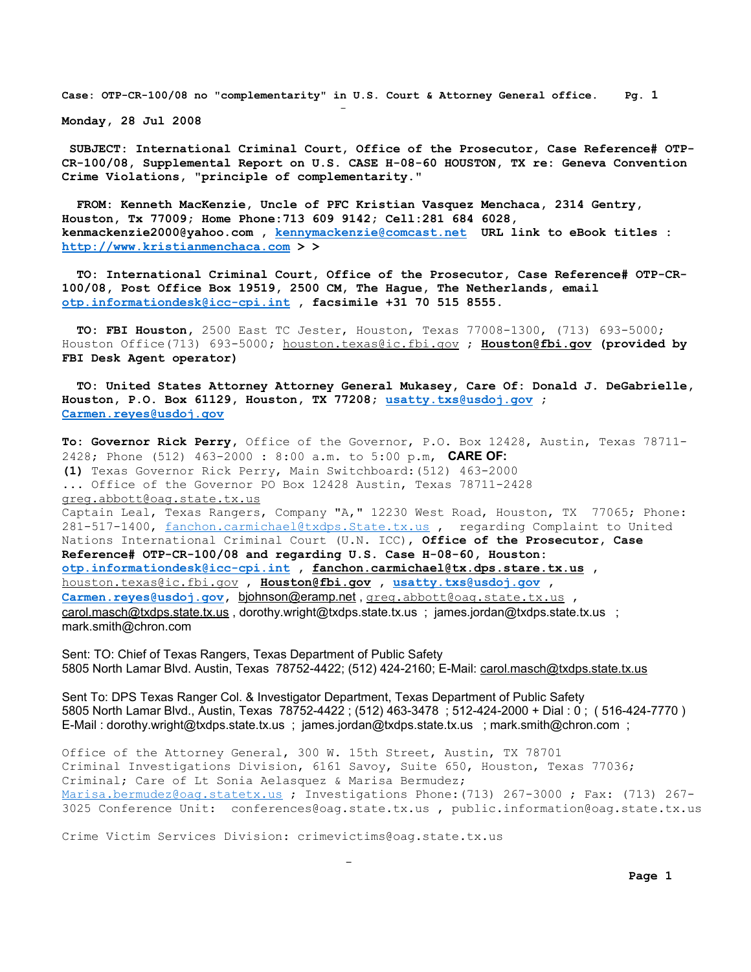**Monday, 28 Jul 2008**

and the state of the state of the state of the state of the state of the state of the state of the state of th

**SUBJECT: International Criminal Court, Office of the Prosecutor, Case Reference# OTP-CR-100/08, Supplemental Report on U.S. CASE H-08-60 HOUSTON, TX re: Geneva Convention Crime Violations, "principle of complementarity."**

 **FROM: Kenneth MacKenzie, Uncle of PFC Kristian Vasquez Menchaca, 2314 Gentry, Houston, Tx 77009; Home Phone:713 609 9142; Cell:281 684 6028, kenmackenzie2000@yahoo.com , [kennymackenzie@comcast.net](mailto:kennymackenzie@comcast.net) URL link to eBook titles : [http://www.kristianmenchaca.com](http://www.kristianmenchaca.com/) > >**

 **TO: International Criminal Court, Office of the Prosecutor, Case Reference# OTP-CR-100/08, Post Office Box 19519, 2500 CM, The Hague, The Netherlands, email [otp.informationdesk@icc-cpi.int](mailto:otp.informationdesk@icc-cpi.int) , facsimile +31 70 515 8555.**

 **TO: FBI Houston,** 2500 East TC Jester, Houston, Texas 77008-1300, (713) 693-5000; Houston Office(713) 693-5000**;** [houston.texas@ic.fbi.gov](mailto:houston.texas@ic.fbi.gov) ; **[Houston@fbi.gov](mailto:Houston@fbi.gov) (provided by FBI Desk Agent operator)**

 **TO: United States Attorney Attorney General Mukasey, Care Of: Donald J. DeGabrielle, Houston, P.O. Box 61129, Houston, TX 77208; [usatty.txs@usdoj.gov](mailto:usatty.txs@usdoj.gov) ; [Carmen.reyes@usdoj.gov](mailto:Carmen.reyes@usdoj.gov)**

**To: Governor Rick Perry,** Office of the Governor, P.O. Box 12428, Austin, Texas 78711- 2428; Phone (512) 463-2000 : 8:00 a.m. to 5:00 p.m, **CARE OF: (1)** Texas Governor Rick Perry, Main Switchboard:(512) 463-2000 ... Office of the Governor PO Box 12428 Austin, Texas 78711-2428 [greg.abbott@oag.state.tx.us](mailto:greg.abbott@oag.state.tx.us) Captain Leal, Texas Rangers, Company "A," 12230 West Road, Houston, TX 77065; Phone: 281-517-1400, [fanchon.carmichael@txdps.State.tx.us](mailto:fanchon.carmichael@txdps.State.tx.us) , regarding Complaint to United Nations International Criminal Court (U.N. ICC), **Office of the Prosecutor, Case Reference# OTP-CR-100/08 and regarding U.S. Case H-08-60, Houston: [otp.informationdesk@icc-cpi.int](mailto:otp.informationdesk@icc-cpi.int) , [fanchon.carmichael@tx.dps.stare.tx.us](mailto:fanchon.carmichael@tx.dps.stare.tx.us) ,**  [houston.texas@ic.fbi.gov](mailto:houston.texas@ic.fbi.gov) , **[Houston@fbi.gov](mailto:Houston@fbi.gov) , [usatty.txs@usdoj.gov](mailto:usatty.txs@usdoj.gov) , [Carmen.reyes@usdoj.gov,](mailto:Carmen.reyes@usdoj.gov)** [bjohnson@eramp.net](mailto:bjohnson@eramp.net) , [greg.abbott@oag.state.tx.us](mailto:greg.abbott@oag.state.tx.us) , carol.masch@txdps.state.tx.us, dorothy.wright@txdps.state.tx.us; james.jordan@txdps.state.tx.us; mark.smith@chron.com

Sent: TO: Chief of Texas Rangers, Texas Department of Public Safety 5805 North Lamar Blvd. Austin, Texas 78752-4422; (512) 424-2160; E-Mail: [carol.masch@txdps.state.tx.us](mailto:carol.masch@txdps.state.tx.us)

Sent To: DPS Texas Ranger Col. & Investigator Department, Texas Department of Public Safety 5805 North Lamar Blvd., Austin, Texas 78752-4422 ; (512) 463-3478 ; 512-424-2000 + Dial : 0 ; ( 516-424-7770 ) E-Mail : dorothy.wright@txdps.state.tx.us ; james.jordan@txdps.state.tx.us ; mark.smith@chron.com ;

Office of the Attorney General, 300 W. 15th Street, Austin, TX 78701 Criminal Investigations Division, 6161 Savoy, Suite 650, Houston, Texas 77036; Criminal; Care of Lt Sonia Aelasquez & Marisa Bermudez; [Marisa.bermudez@oag.statetx.us](mailto:Marisa.bermudez@oag.statetx.us) ; Investigations Phone: (713) 267-3000 ; Fax: (713) 267-3025 Conference Unit: conferences@oag.state.tx.us , public.information@oag.state.tx.us

Crime Victim Services Division: crimevictims@oag.state.tx.us

and the contract of the contract of the contract of the contract of the contract of the contract of the contract of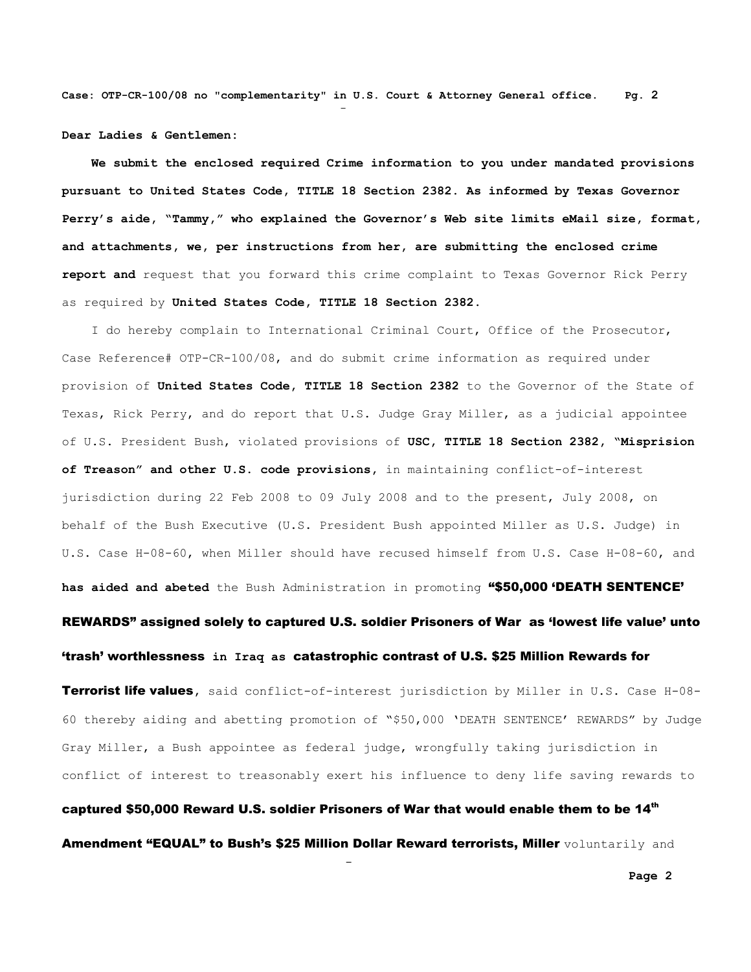**Dear Ladies & Gentlemen:**

and the state of the state of the state of the state of the state of the state of the state of the state of th

and the contract of the contract of the contract of the contract of the contract of the contract of the contract of

 **We submit the enclosed required Crime information to you under mandated provisions pursuant to United States Code, TITLE 18 Section 2382. As informed by Texas Governor Perry's aide, "Tammy," who explained the Governor's Web site limits eMail size, format, and attachments, we, per instructions from her, are submitting the enclosed crime report and** request that you forward this crime complaint to Texas Governor Rick Perry as required by **United States Code, TITLE 18 Section 2382**.

 I do hereby complain to International Criminal Court, Office of the Prosecutor, Case Reference# OTP-CR-100/08, and do submit crime information as required under provision of **United States Code, TITLE 18 Section 2382** to the Governor of the State of Texas, Rick Perry, and do report that U.S. Judge Gray Miller, as a judicial appointee of U.S. President Bush, violated provisions of **USC, TITLE 18 Section 2382, "Misprision of Treason" and other U.S. code provisions,** in maintaining conflict-of-interest jurisdiction during 22 Feb 2008 to 09 July 2008 and to the present, July 2008, on behalf of the Bush Executive (U.S. President Bush appointed Miller as U.S. Judge) in U.S. Case H-08-60, when Miller should have recused himself from U.S. Case H-08-60, and **has aided and abeted** the Bush Administration in promoting "\$50,000 'DEATH SENTENCE' REWARDS" assigned solely to captured U.S. soldier Prisoners of War as 'lowest life value' unto 'trash' worthlessness **in Iraq as** catastrophic contrast of U.S. \$25 Million Rewards for Terrorist life values**,** said conflict-of-interest jurisdiction by Miller in U.S. Case H-08-

60 thereby aiding and abetting promotion of "\$50,000 'DEATH SENTENCE' REWARDS" by Judge Gray Miller, a Bush appointee as federal judge, wrongfully taking jurisdiction in conflict of interest to treasonably exert his influence to deny life saving rewards to

captured \$50,000 Reward U.S. soldier Prisoners of War that would enable them to be  $14<sup>th</sup>$ Amendment "EQUAL" to Bush's \$25 Million Dollar Reward terrorists, Miller voluntarily and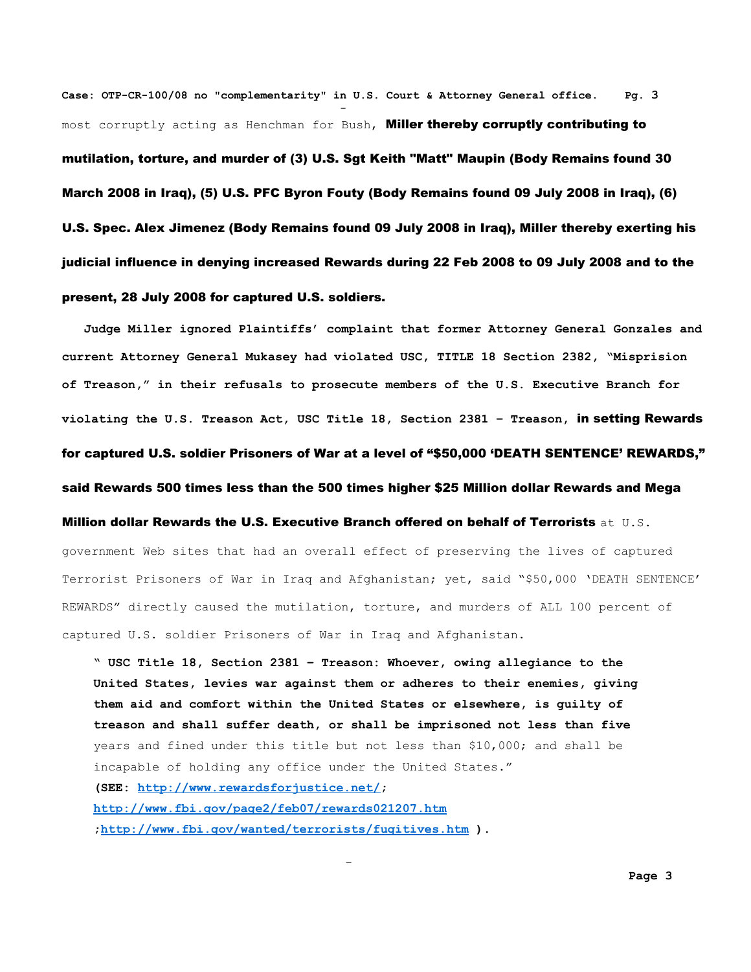**Case: OTP-CR-100/08 no "complementarity" in U.S. Court & Attorney General office. Pg. 3** and the state of the state of the state of the state of the state of the state of the state of the state of th most corruptly acting as Henchman for Bush, Miller thereby corruptly contributing to mutilation, torture, and murder of (3) U.S. Sgt Keith "Matt" Maupin (Body Remains found 30 March 2008 in Iraq), (5) U.S. PFC Byron Fouty (Body Remains found 09 July 2008 in Iraq), (6) U.S. Spec. Alex Jimenez (Body Remains found 09 July 2008 in Iraq), Miller thereby exerting his judicial influence in denying increased Rewards during 22 Feb 2008 to 09 July 2008 and to the present, 28 July 2008 for captured U.S. soldiers.

 **Judge Miller ignored Plaintiffs' complaint that former Attorney General Gonzales and current Attorney General Mukasey had violated USC, TITLE 18 Section 2382, "Misprision of Treason," in their refusals to prosecute members of the U.S. Executive Branch for violating the U.S. Treason Act, USC Title 18, Section 2381 – Treason,** in setting Rewards for captured U.S. soldier Prisoners of War at a level of "\$50,000 'DEATH SENTENCE' REWARDS," said Rewards 500 times less than the 500 times higher \$25 Million dollar Rewards and Mega Million dollar Rewards the U.S. Executive Branch offered on behalf of Terrorists at U.S. government Web sites that had an overall effect of preserving the lives of captured Terrorist Prisoners of War in Iraq and Afghanistan; yet, said "\$50,000 'DEATH SENTENCE' REWARDS" directly caused the mutilation, torture, and murders of ALL 100 percent of captured U.S. soldier Prisoners of War in Iraq and Afghanistan.

**" USC Title 18, Section 2381 – Treason: Whoever, owing allegiance to the United States, levies war against them or adheres to their enemies, giving them aid and comfort within the United States or elsewhere, is guilty of treason and shall suffer death, or shall be imprisoned not less than five** years and fined under this title but not less than \$10,000; and shall be incapable of holding any office under the United States." **(SEE: [http://www.rewardsforjustice.net/;](http://www.rewardsforjustice.net/) <http://www.fbi.gov/page2/feb07/rewards021207.htm> [;http://www.fbi.gov/wanted/terrorists/fugitives.htm](http://www.fbi.gov/wanted/terrorists/fugitives.htm) ).**

and the contract of the contract of the contract of the contract of the contract of the contract of the contract of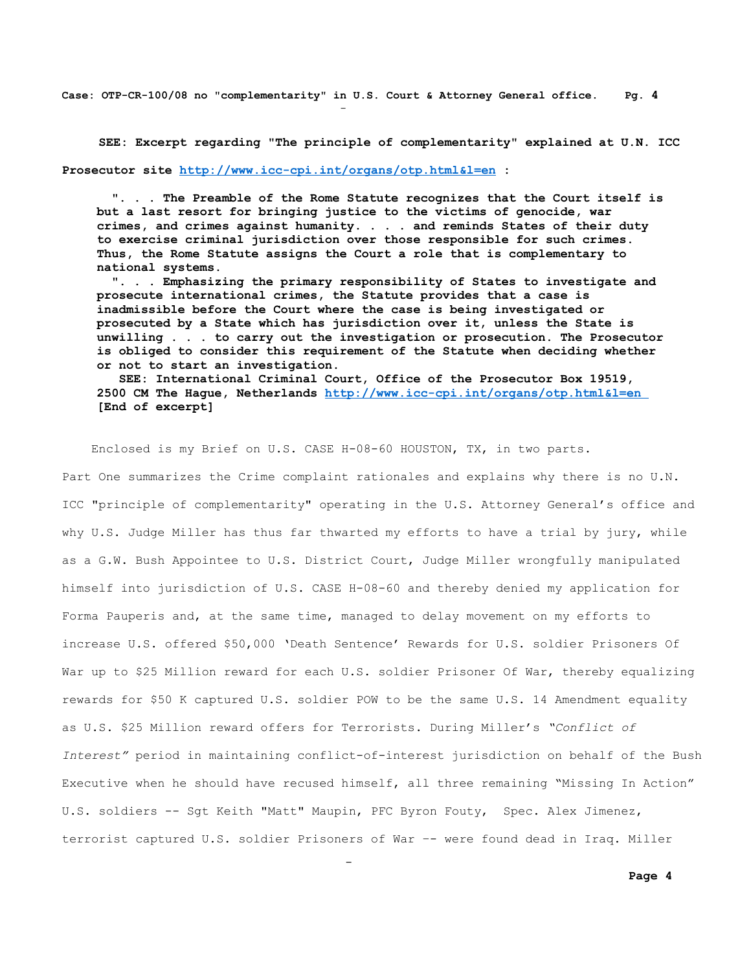**SEE: Excerpt regarding "The principle of complementarity" explained at U.N. ICC**

**Prosecutor site<http://www.icc-cpi.int/organs/otp.html&l=en> :** 

and the state of the state of the state of the state of the state of the state of the state of the state of th

and the contract of the contract of the contract of the contract of the contract of the contract of the contract of

**". . . The Preamble of the Rome Statute recognizes that the Court itself is but a last resort for bringing justice to the victims of genocide, war crimes, and crimes against humanity. . . . and reminds States of their duty to exercise criminal jurisdiction over those responsible for such crimes. Thus, the Rome Statute assigns the Court a role that is complementary to national systems.**

 **". . . Emphasizing the primary responsibility of States to investigate and prosecute international crimes, the Statute provides that a case is inadmissible before the Court where the case is being investigated or prosecuted by a State which has jurisdiction over it, unless the State is unwilling . . . to carry out the investigation or prosecution. The Prosecutor is obliged to consider this requirement of the Statute when deciding whether or not to start an investigation.**

 **SEE: International Criminal Court, Office of the Prosecutor Box 19519, 2500 CM The Hague, Netherlands<http://www.icc-cpi.int/organs/otp.html&l=en> [End of excerpt]**

Enclosed is my Brief on U.S. CASE H-08-60 HOUSTON, TX, in two parts.

Part One summarizes the Crime complaint rationales and explains why there is no U.N. ICC "principle of complementarity" operating in the U.S. Attorney General's office and why U.S. Judge Miller has thus far thwarted my efforts to have a trial by jury, while as a G.W. Bush Appointee to U.S. District Court, Judge Miller wrongfully manipulated himself into jurisdiction of U.S. CASE H-08-60 and thereby denied my application for Forma Pauperis and, at the same time, managed to delay movement on my efforts to increase U.S. offered \$50,000 'Death Sentence' Rewards for U.S. soldier Prisoners Of War up to \$25 Million reward for each U.S. soldier Prisoner Of War, thereby equalizing rewards for \$50 K captured U.S. soldier POW to be the same U.S. 14 Amendment equality as U.S. \$25 Million reward offers for Terrorists. During Miller's *"Conflict of Interest"* period in maintaining conflict-of-interest jurisdiction on behalf of the Bush Executive when he should have recused himself, all three remaining "Missing In Action" U.S. soldiers -- Sgt Keith "Matt" Maupin, PFC Byron Fouty, Spec. Alex Jimenez, terrorist captured U.S. soldier Prisoners of War –- were found dead in Iraq. Miller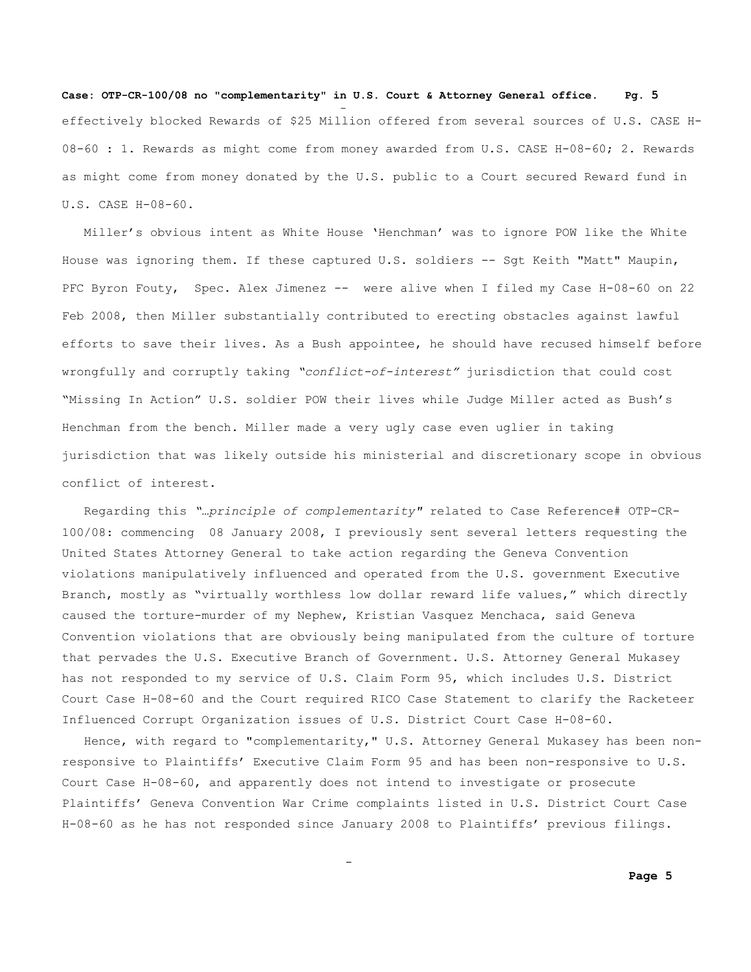**Case: OTP-CR-100/08 no "complementarity" in U.S. Court & Attorney General office. Pg. 5** and the state of the state of the state of the state of the state of the state of the state of the state of th effectively blocked Rewards of \$25 Million offered from several sources of U.S. CASE H-08-60 : 1. Rewards as might come from money awarded from U.S. CASE H-08-60; 2. Rewards as might come from money donated by the U.S. public to a Court secured Reward fund in U.S. CASE H-08-60.

 Miller's obvious intent as White House 'Henchman' was to ignore POW like the White House was ignoring them. If these captured U.S. soldiers -- Sgt Keith "Matt" Maupin, PFC Byron Fouty, Spec. Alex Jimenez -- were alive when I filed my Case H-08-60 on 22 Feb 2008, then Miller substantially contributed to erecting obstacles against lawful efforts to save their lives. As a Bush appointee, he should have recused himself before wrongfully and corruptly taking *"conflict-of-interest"* jurisdiction that could cost "Missing In Action" U.S. soldier POW their lives while Judge Miller acted as Bush's Henchman from the bench. Miller made a very ugly case even uglier in taking jurisdiction that was likely outside his ministerial and discretionary scope in obvious conflict of interest.

 Regarding this *"…principle of complementarity"* related to Case Reference# OTP-CR-100/08: commencing 08 January 2008, I previously sent several letters requesting the United States Attorney General to take action regarding the Geneva Convention violations manipulatively influenced and operated from the U.S. government Executive Branch, mostly as "virtually worthless low dollar reward life values," which directly caused the torture-murder of my Nephew, Kristian Vasquez Menchaca, said Geneva Convention violations that are obviously being manipulated from the culture of torture that pervades the U.S. Executive Branch of Government. U.S. Attorney General Mukasey has not responded to my service of U.S. Claim Form 95, which includes U.S. District Court Case H-08-60 and the Court required RICO Case Statement to clarify the Racketeer Influenced Corrupt Organization issues of U.S. District Court Case H-08-60.

 Hence, with regard to "complementarity," U.S. Attorney General Mukasey has been nonresponsive to Plaintiffs' Executive Claim Form 95 and has been non-responsive to U.S. Court Case H-08-60, and apparently does not intend to investigate or prosecute Plaintiffs' Geneva Convention War Crime complaints listed in U.S. District Court Case H-08-60 as he has not responded since January 2008 to Plaintiffs' previous filings.

and the contract of the contract of the contract of the contract of the contract of the contract of the contract of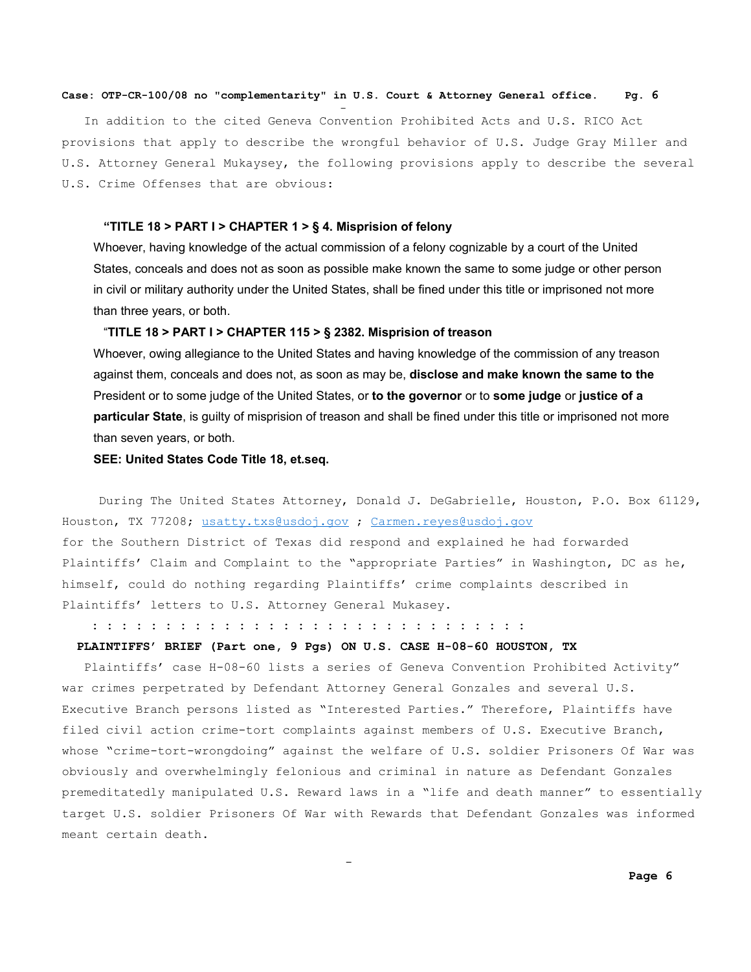In addition to the cited Geneva Convention Prohibited Acts and U.S. RICO Act provisions that apply to describe the wrongful behavior of U.S. Judge Gray Miller and U.S. Attorney General Mukaysey, the following provisions apply to describe the several U.S. Crime Offenses that are obvious:

## **"TITLE 18 > PART I > CHAPTER 1 > § 4. Misprision of felony**

Whoever, having knowledge of the actual commission of a felony cognizable by a court of the United States, conceals and does not as soon as possible make known the same to some judge or other person in civil or military authority under the United States, shall be fined under this title or imprisoned not more than three years, or both.

### "**TITLE 18 > PART I > CHAPTER 115 > § 2382. Misprision of treason**

Whoever, owing allegiance to the United States and having knowledge of the commission of any treason against them, conceals and does not, as soon as may be, **disclose and make known the same to the** President or to some judge of the United States, or **to the governor** or to **some judge** or **justice of a particular State**, is guilty of misprision of treason and shall be fined under this title or imprisoned not more than seven years, or both.

### **SEE: United States Code Title 18, et.seq.**

and the contract of the contract of the contract of the contract of the contract of the contract of the contract of

and the state of the state of the state of the state of the state of the state of the state of the state of th

During The United States Attorney, Donald J. DeGabrielle, Houston, P.O. Box 61129, Houston, TX 77208; [usatty.txs@usdoj.gov](mailto:usatty.txs@usdoj.gov) ; [Carmen.reyes@usdoj.gov](mailto:Carmen.reyes@usdoj.gov) for the Southern District of Texas did respond and explained he had forwarded Plaintiffs' Claim and Complaint to the "appropriate Parties" in Washington, DC as he, himself, could do nothing regarding Plaintiffs' crime complaints described in Plaintiffs' letters to U.S. Attorney General Mukasey.

 **: : : : : : : : : : : : : : : : : : : : : : : : : : : : : :**

## **PLAINTIFFS' BRIEF (Part one, 9 Pgs) ON U.S. CASE H-08-60 HOUSTON, TX**

 Plaintiffs' case H-08-60 lists a series of Geneva Convention Prohibited Activity" war crimes perpetrated by Defendant Attorney General Gonzales and several U.S. Executive Branch persons listed as "Interested Parties." Therefore, Plaintiffs have filed civil action crime-tort complaints against members of U.S. Executive Branch, whose "crime-tort-wrongdoing" against the welfare of U.S. soldier Prisoners Of War was obviously and overwhelmingly felonious and criminal in nature as Defendant Gonzales premeditatedly manipulated U.S. Reward laws in a "life and death manner" to essentially target U.S. soldier Prisoners Of War with Rewards that Defendant Gonzales was informed meant certain death.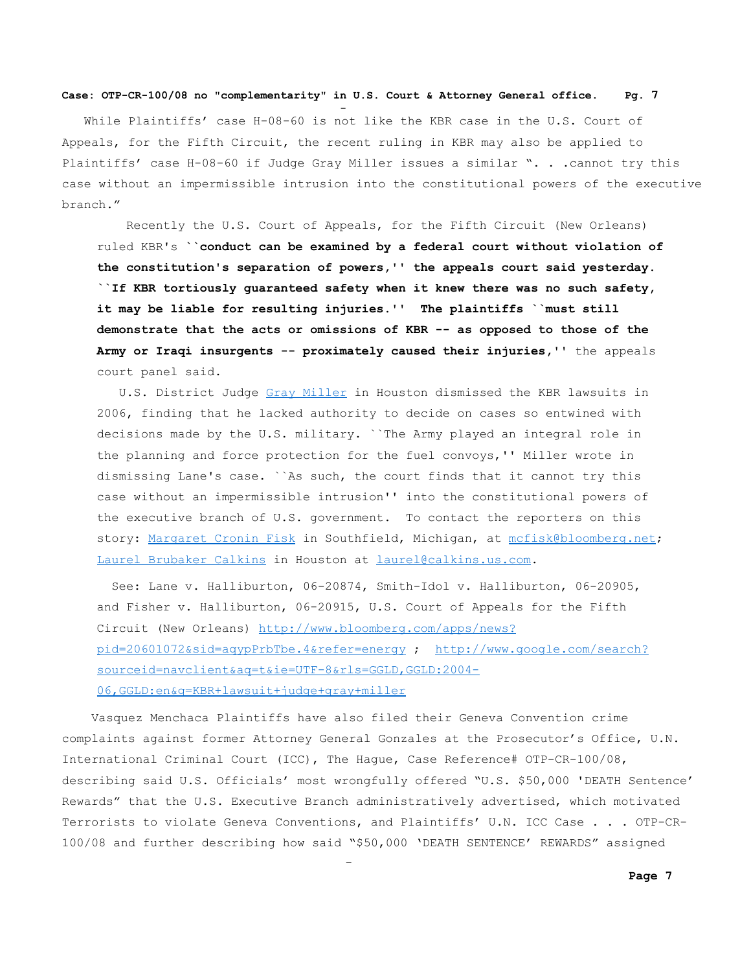and the state of the state of the state of the state of the state of the state of the state of the state of th

and the contract of the contract of the contract of the contract of the contract of the contract of the contract of

 While Plaintiffs' case H-08-60 is not like the KBR case in the U.S. Court of Appeals, for the Fifth Circuit, the recent ruling in KBR may also be applied to Plaintiffs' case H-08-60 if Judge Gray Miller issues a similar ". . .cannot try this case without an impermissible intrusion into the constitutional powers of the executive branch."

 Recently the U.S. Court of Appeals, for the Fifth Circuit (New Orleans) ruled KBR's **``conduct can be examined by a federal court without violation of the constitution's separation of powers,'' the appeals court said yesterday. ``If KBR tortiously guaranteed safety when it knew there was no such safety, it may be liable for resulting injuries.'' The plaintiffs ``must still demonstrate that the acts or omissions of KBR -- as opposed to those of the Army or Iraqi insurgents -- proximately caused their injuries,''** the appeals court panel said.

 U.S. District Judge [Gray Miller](http://search.bloomberg.com/search?q=Gray+Miller&site=wnews&client=wnews&proxystylesheet=wnews&output=xml_no_dtd&ie=UTF-8&oe=UTF-8&filter=p&getfields=wnnis&sort=date:D:S:d1) in Houston dismissed the KBR lawsuits in 2006, finding that he lacked authority to decide on cases so entwined with decisions made by the U.S. military. ``The Army played an integral role in the planning and force protection for the fuel convoys,'' Miller wrote in dismissing Lane's case. ``As such, the court finds that it cannot try this case without an impermissible intrusion'' into the constitutional powers of the executive branch of U.S. government. To contact the reporters on this story: [Margaret Cronin Fisk](http://search.bloomberg.com/search?q=Margaret+Cronin+Fisk&site=wnews&client=wnews&proxystylesheet=wnews&output=xml_no_dtd&ie=UTF-8&oe=UTF-8&filter=p&getfields=wnnis&sort=date:D:S:d1) in Southfield, Michigan, at [mcfisk@bloomberg.net;](mailto:mcfisk@bloomberg.net) [Laurel Brubaker Calkins](http://search.bloomberg.com/search?q=Laurel+Brubaker+Calkins&site=wnews&client=wnews&proxystylesheet=wnews&output=xml_no_dtd&ie=UTF-8&oe=UTF-8&filter=p&getfields=wnnis&sort=date:D:S:d1) in Houston at [laurel@calkins.us.com.](mailto:laurel@calkins.us.com)

 See: Lane v. Halliburton, 06-20874, Smith-Idol v. Halliburton, 06-20905, and Fisher v. Halliburton, 06-20915, U.S. Court of Appeals for the Fifth Circuit (New Orleans) [http://www.bloomberg.com/apps/news?](http://www.bloomberg.com/apps/news?pid=20601072&sid=aqypPrbTbe.4&refer=energy) [pid=20601072&sid=aqypPrbTbe.4&refer=energy](http://www.bloomberg.com/apps/news?pid=20601072&sid=aqypPrbTbe.4&refer=energy) ; [http://www.google.com/search?](http://www.google.com/search?sourceid=navclient&aq=t&ie=UTF-8&rls=GGLD,GGLD:2004-06,GGLD:en&q=KBR+lawsuit+judge+gray+miller) [sourceid=navclient&aq=t&ie=UTF-8&rls=GGLD,GGLD:2004-](http://www.google.com/search?sourceid=navclient&aq=t&ie=UTF-8&rls=GGLD,GGLD:2004-06,GGLD:en&q=KBR+lawsuit+judge+gray+miller) [06,GGLD:en&q=KBR+lawsuit+judge+gray+miller](http://www.google.com/search?sourceid=navclient&aq=t&ie=UTF-8&rls=GGLD,GGLD:2004-06,GGLD:en&q=KBR+lawsuit+judge+gray+miller)

 Vasquez Menchaca Plaintiffs have also filed their Geneva Convention crime complaints against former Attorney General Gonzales at the Prosecutor's Office, U.N. International Criminal Court (ICC), The Hague, Case Reference# OTP-CR-100/08, describing said U.S. Officials' most wrongfully offered "U.S. \$50,000 'DEATH Sentence' Rewards" that the U.S. Executive Branch administratively advertised, which motivated Terrorists to violate Geneva Conventions, and Plaintiffs' U.N. ICC Case . . . OTP-CR-100/08 and further describing how said "\$50,000 'DEATH SENTENCE' REWARDS" assigned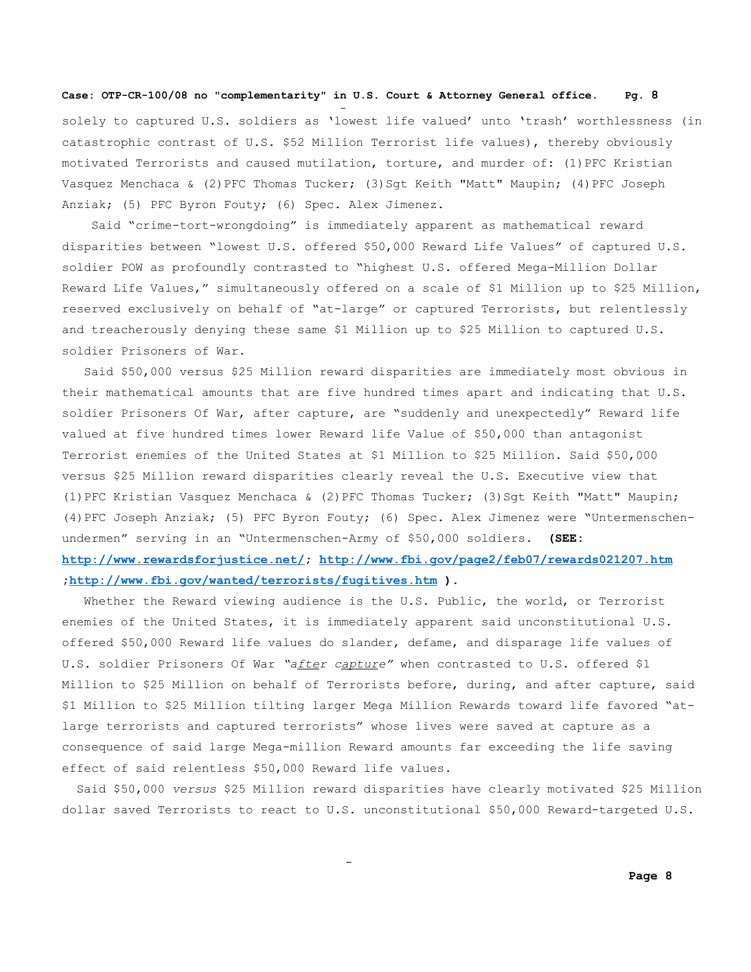and the state of the state of the state of the state of the state of the state of the state of the state of th

and the contract of the contract of the contract of the contract of the contract of the contract of the contract of

solely to captured U.S. soldiers as 'lowest life valued' unto 'trash' worthlessness (in catastrophic contrast of U.S. \$52 Million Terrorist life values), thereby obviously motivated Terrorists and caused mutilation, torture, and murder of: (1)PFC Kristian Vasquez Menchaca & (2)PFC Thomas Tucker; (3)Sgt Keith "Matt" Maupin; (4)PFC Joseph Anziak; (5) PFC Byron Fouty; (6) Spec. Alex Jimenez.

Said "crime-tort-wrongdoing" is immediately apparent as mathematical reward disparities between "lowest U.S. offered \$50,000 Reward Life Values" of captured U.S. soldier POW as profoundly contrasted to "highest U.S. offered Mega-Million Dollar Reward Life Values," simultaneously offered on a scale of \$1 Million up to \$25 Million, reserved exclusively on behalf of "at-large" or captured Terrorists, but relentlessly and treacherously denying these same \$1 Million up to \$25 Million to captured U.S. soldier Prisoners of War.

 Said \$50,000 versus \$25 Million reward disparities are immediately most obvious in their mathematical amounts that are five hundred times apart and indicating that U.S. soldier Prisoners Of War, after capture, are "suddenly and unexpectedly" Reward life valued at five hundred times lower Reward life Value of \$50,000 than antagonist Terrorist enemies of the United States at \$1 Million to \$25 Million. Said \$50,000 versus \$25 Million reward disparities clearly reveal the U.S. Executive view that (1)PFC Kristian Vasquez Menchaca & (2)PFC Thomas Tucker; (3)Sgt Keith "Matt" Maupin; (4)PFC Joseph Anziak; (5) PFC Byron Fouty; (6) Spec. Alex Jimenez were "Untermenschenundermen" serving in an "Untermenschen-Army of \$50,000 soldiers. **(SEE: [http://www.rewardsforjustice.net/;](http://www.rewardsforjustice.net/)<http://www.fbi.gov/page2/feb07/rewards021207.htm> [;http://www.fbi.gov/wanted/terrorists/fugitives.htm](http://www.fbi.gov/wanted/terrorists/fugitives.htm) ).**

 Whether the Reward viewing audience is the U.S. Public, the world, or Terrorist enemies of the United States, it is immediately apparent said unconstitutional U.S. offered \$50,000 Reward life values do slander, defame, and disparage life values of U.S. soldier Prisoners Of War *"after capture"* when contrasted to U.S. offered \$1 Million to \$25 Million on behalf of Terrorists before, during, and after capture, said \$1 Million to \$25 Million tilting larger Mega Million Rewards toward life favored "atlarge terrorists and captured terrorists" whose lives were saved at capture as a consequence of said large Mega-million Reward amounts far exceeding the life saving effect of said relentless \$50,000 Reward life values.

 Said \$50,000 *versus* \$25 Million reward disparities have clearly motivated \$25 Million dollar saved Terrorists to react to U.S. unconstitutional \$50,000 Reward-targeted U.S.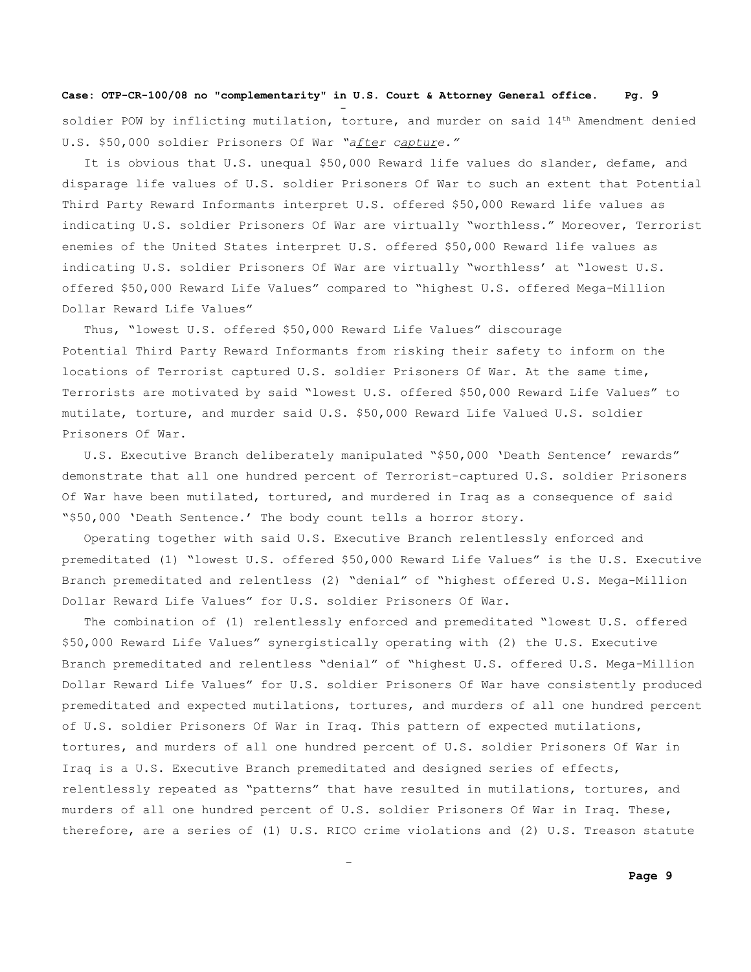and the state of the state of the state of the state of the state of the state of the state of the state of th

and the contract of the contract of the contract of the contract of the contract of the contract of the contract of

soldier POW by inflicting mutilation, torture, and murder on said  $14<sup>th</sup>$  Amendment denied U.S. \$50,000 soldier Prisoners Of War *"after capture."*

It is obvious that U.S. unequal \$50,000 Reward life values do slander, defame, and disparage life values of U.S. soldier Prisoners Of War to such an extent that Potential Third Party Reward Informants interpret U.S. offered \$50,000 Reward life values as indicating U.S. soldier Prisoners Of War are virtually "worthless." Moreover, Terrorist enemies of the United States interpret U.S. offered \$50,000 Reward life values as indicating U.S. soldier Prisoners Of War are virtually "worthless' at "lowest U.S. offered \$50,000 Reward Life Values" compared to "highest U.S. offered Mega-Million Dollar Reward Life Values"

 Thus, "lowest U.S. offered \$50,000 Reward Life Values" discourage Potential Third Party Reward Informants from risking their safety to inform on the locations of Terrorist captured U.S. soldier Prisoners Of War. At the same time, Terrorists are motivated by said "lowest U.S. offered \$50,000 Reward Life Values" to mutilate, torture, and murder said U.S. \$50,000 Reward Life Valued U.S. soldier Prisoners Of War.

 U.S. Executive Branch deliberately manipulated "\$50,000 'Death Sentence' rewards" demonstrate that all one hundred percent of Terrorist-captured U.S. soldier Prisoners Of War have been mutilated, tortured, and murdered in Iraq as a consequence of said "\$50,000 'Death Sentence.' The body count tells a horror story.

 Operating together with said U.S. Executive Branch relentlessly enforced and premeditated (1) "lowest U.S. offered \$50,000 Reward Life Values" is the U.S. Executive Branch premeditated and relentless (2) "denial" of "highest offered U.S. Mega-Million Dollar Reward Life Values" for U.S. soldier Prisoners Of War.

 The combination of (1) relentlessly enforced and premeditated "lowest U.S. offered \$50,000 Reward Life Values" synergistically operating with (2) the U.S. Executive Branch premeditated and relentless "denial" of "highest U.S. offered U.S. Mega-Million Dollar Reward Life Values" for U.S. soldier Prisoners Of War have consistently produced premeditated and expected mutilations, tortures, and murders of all one hundred percent of U.S. soldier Prisoners Of War in Iraq. This pattern of expected mutilations, tortures, and murders of all one hundred percent of U.S. soldier Prisoners Of War in Iraq is a U.S. Executive Branch premeditated and designed series of effects, relentlessly repeated as "patterns" that have resulted in mutilations, tortures, and murders of all one hundred percent of U.S. soldier Prisoners Of War in Iraq. These, therefore, are a series of (1) U.S. RICO crime violations and (2) U.S. Treason statute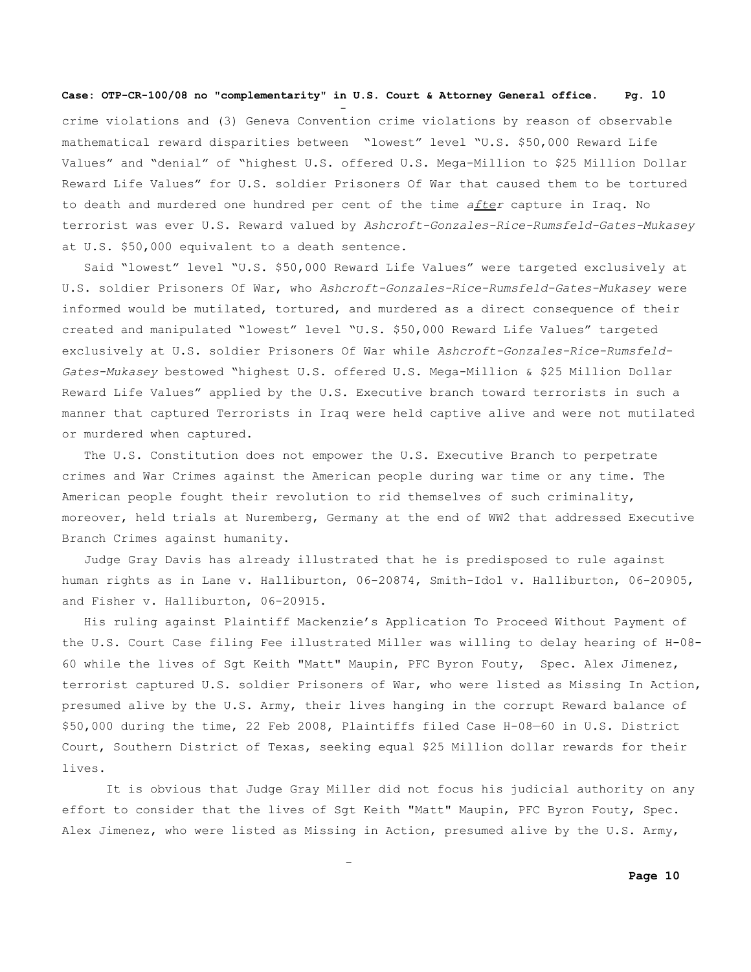and the state of the state of the state of the state of the state of the state of the state of the state of th

and the contract of the contract of the contract of the contract of the contract of the contract of the contract of

crime violations and (3) Geneva Convention crime violations by reason of observable mathematical reward disparities between "lowest" level "U.S. \$50,000 Reward Life Values" and "denial" of "highest U.S. offered U.S. Mega-Million to \$25 Million Dollar Reward Life Values" for U.S. soldier Prisoners Of War that caused them to be tortured to death and murdered one hundred per cent of the time *after* capture in Iraq. No terrorist was ever U.S. Reward valued by *Ashcroft-Gonzales-Rice-Rumsfeld-Gates-Mukasey* at U.S. \$50,000 equivalent to a death sentence.

 Said "lowest" level "U.S. \$50,000 Reward Life Values" were targeted exclusively at U.S. soldier Prisoners Of War, who *Ashcroft-Gonzales-Rice-Rumsfeld-Gates-Mukasey* were informed would be mutilated, tortured, and murdered as a direct consequence of their created and manipulated "lowest" level "U.S. \$50,000 Reward Life Values" targeted exclusively at U.S. soldier Prisoners Of War while *Ashcroft-Gonzales-Rice-Rumsfeld-Gates-Mukasey* bestowed "highest U.S. offered U.S. Mega-Million & \$25 Million Dollar Reward Life Values" applied by the U.S. Executive branch toward terrorists in such a manner that captured Terrorists in Iraq were held captive alive and were not mutilated or murdered when captured.

 The U.S. Constitution does not empower the U.S. Executive Branch to perpetrate crimes and War Crimes against the American people during war time or any time. The American people fought their revolution to rid themselves of such criminality, moreover, held trials at Nuremberg, Germany at the end of WW2 that addressed Executive Branch Crimes against humanity.

 Judge Gray Davis has already illustrated that he is predisposed to rule against human rights as in Lane v. Halliburton, 06-20874, Smith-Idol v. Halliburton, 06-20905, and Fisher v. Halliburton, 06-20915.

 His ruling against Plaintiff Mackenzie's Application To Proceed Without Payment of the U.S. Court Case filing Fee illustrated Miller was willing to delay hearing of H-08- 60 while the lives of Sgt Keith "Matt" Maupin, PFC Byron Fouty, Spec. Alex Jimenez, terrorist captured U.S. soldier Prisoners of War, who were listed as Missing In Action, presumed alive by the U.S. Army, their lives hanging in the corrupt Reward balance of \$50,000 during the time, 22 Feb 2008, Plaintiffs filed Case H-08—60 in U.S. District Court, Southern District of Texas, seeking equal \$25 Million dollar rewards for their lives.

It is obvious that Judge Gray Miller did not focus his judicial authority on any effort to consider that the lives of Sgt Keith "Matt" Maupin, PFC Byron Fouty, Spec. Alex Jimenez, who were listed as Missing in Action, presumed alive by the U.S. Army,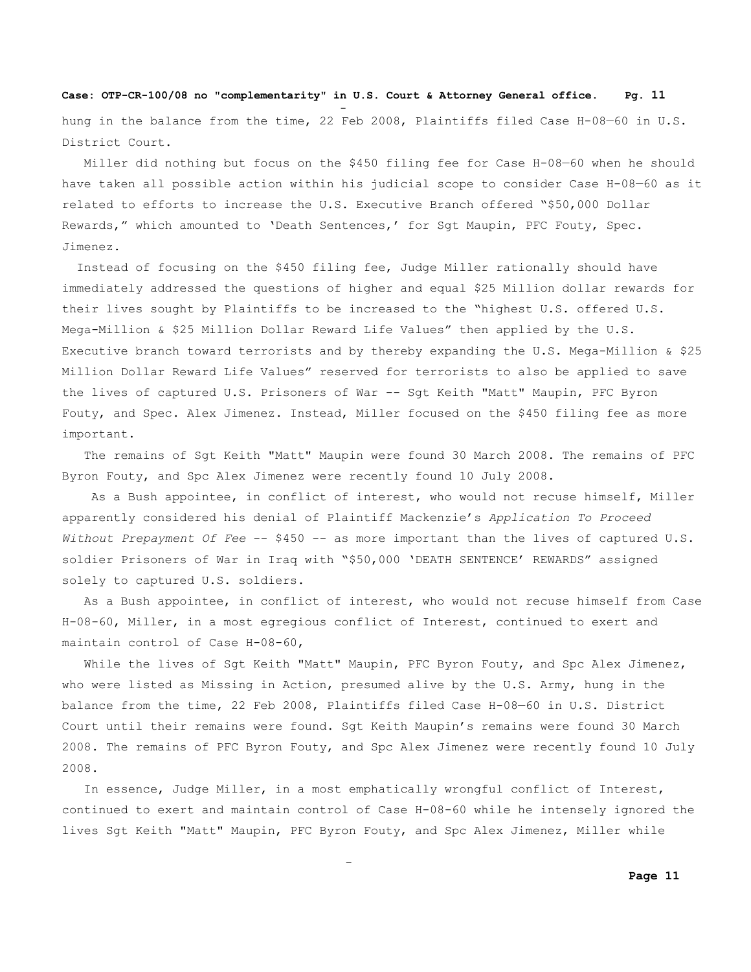# **Case: OTP-CR-100/08 no "complementarity" in U.S. Court & Attorney General office. Pg. 11** and the state of the state of the state of the state of the state of the state of the state of the state of th hung in the balance from the time, 22 Feb 2008, Plaintiffs filed Case H-08-60 in U.S. District Court.

 Miller did nothing but focus on the \$450 filing fee for Case H-08—60 when he should have taken all possible action within his judicial scope to consider Case H-08—60 as it related to efforts to increase the U.S. Executive Branch offered "\$50,000 Dollar Rewards," which amounted to 'Death Sentences,' for Sgt Maupin, PFC Fouty, Spec. Jimenez.

 Instead of focusing on the \$450 filing fee, Judge Miller rationally should have immediately addressed the questions of higher and equal \$25 Million dollar rewards for their lives sought by Plaintiffs to be increased to the "highest U.S. offered U.S. Mega-Million & \$25 Million Dollar Reward Life Values" then applied by the U.S. Executive branch toward terrorists and by thereby expanding the U.S. Mega-Million & \$25 Million Dollar Reward Life Values" reserved for terrorists to also be applied to save the lives of captured U.S. Prisoners of War -- Sgt Keith "Matt" Maupin, PFC Byron Fouty, and Spec. Alex Jimenez. Instead, Miller focused on the \$450 filing fee as more important.

 The remains of Sgt Keith "Matt" Maupin were found 30 March 2008. The remains of PFC Byron Fouty, and Spc Alex Jimenez were recently found 10 July 2008.

 As a Bush appointee, in conflict of interest, who would not recuse himself, Miller apparently considered his denial of Plaintiff Mackenzie's *Application To Proceed Without Prepayment Of Fee* -- \$450 -- as more important than the lives of captured U.S. soldier Prisoners of War in Iraq with "\$50,000 'DEATH SENTENCE' REWARDS" assigned solely to captured U.S. soldiers.

 As a Bush appointee, in conflict of interest, who would not recuse himself from Case H-08-60, Miller, in a most egregious conflict of Interest, continued to exert and maintain control of Case H-08-60,

While the lives of Sgt Keith "Matt" Maupin, PFC Byron Fouty, and Spc Alex Jimenez, who were listed as Missing in Action, presumed alive by the U.S. Army, hung in the balance from the time, 22 Feb 2008, Plaintiffs filed Case H-08—60 in U.S. District Court until their remains were found. Sgt Keith Maupin's remains were found 30 March 2008. The remains of PFC Byron Fouty, and Spc Alex Jimenez were recently found 10 July 2008.

 In essence, Judge Miller, in a most emphatically wrongful conflict of Interest, continued to exert and maintain control of Case H-08-60 while he intensely ignored the lives Sgt Keith "Matt" Maupin, PFC Byron Fouty, and Spc Alex Jimenez, Miller while

and the contract of the contract of the contract of the contract of the contract of the contract of the contract of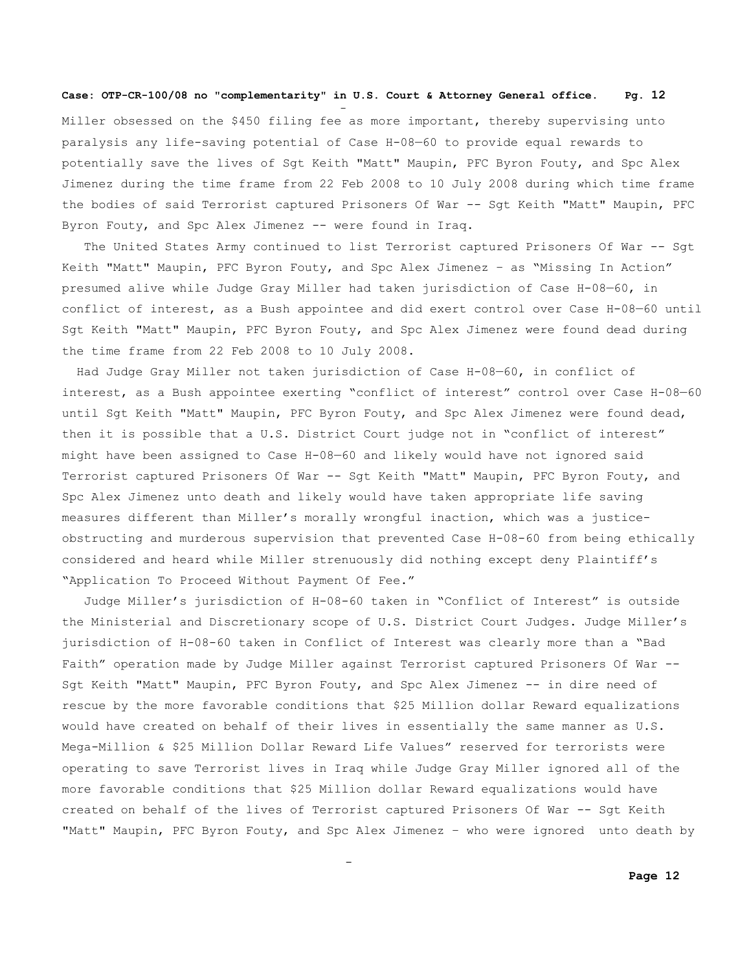and the state of the state of the state of the state of the state of the state of the state of the state of th

and the contract of the contract of the contract of the contract of the contract of the contract of the contract of

Miller obsessed on the \$450 filing fee as more important, thereby supervising unto paralysis any life-saving potential of Case H-08—60 to provide equal rewards to potentially save the lives of Sgt Keith "Matt" Maupin, PFC Byron Fouty, and Spc Alex Jimenez during the time frame from 22 Feb 2008 to 10 July 2008 during which time frame the bodies of said Terrorist captured Prisoners Of War -- Sqt Keith "Matt" Maupin, PFC Byron Fouty, and Spc Alex Jimenez -- were found in Iraq.

 The United States Army continued to list Terrorist captured Prisoners Of War -- Sgt Keith "Matt" Maupin, PFC Byron Fouty, and Spc Alex Jimenez – as "Missing In Action" presumed alive while Judge Gray Miller had taken jurisdiction of Case H-08—60, in conflict of interest, as a Bush appointee and did exert control over Case H-08—60 until Sgt Keith "Matt" Maupin, PFC Byron Fouty, and Spc Alex Jimenez were found dead during the time frame from 22 Feb 2008 to 10 July 2008.

 Had Judge Gray Miller not taken jurisdiction of Case H-08—60, in conflict of interest, as a Bush appointee exerting "conflict of interest" control over Case H-08—60 until Sgt Keith "Matt" Maupin, PFC Byron Fouty, and Spc Alex Jimenez were found dead, then it is possible that a U.S. District Court judge not in "conflict of interest" might have been assigned to Case H-08—60 and likely would have not ignored said Terrorist captured Prisoners Of War -- Sgt Keith "Matt" Maupin, PFC Byron Fouty, and Spc Alex Jimenez unto death and likely would have taken appropriate life saving measures different than Miller's morally wrongful inaction, which was a justiceobstructing and murderous supervision that prevented Case H-08-60 from being ethically considered and heard while Miller strenuously did nothing except deny Plaintiff's "Application To Proceed Without Payment Of Fee."

 Judge Miller's jurisdiction of H-08-60 taken in "Conflict of Interest" is outside the Ministerial and Discretionary scope of U.S. District Court Judges. Judge Miller's jurisdiction of H-08-60 taken in Conflict of Interest was clearly more than a "Bad Faith" operation made by Judge Miller against Terrorist captured Prisoners Of War -- Sgt Keith "Matt" Maupin, PFC Byron Fouty, and Spc Alex Jimenez -- in dire need of rescue by the more favorable conditions that \$25 Million dollar Reward equalizations would have created on behalf of their lives in essentially the same manner as U.S. Mega-Million & \$25 Million Dollar Reward Life Values" reserved for terrorists were operating to save Terrorist lives in Iraq while Judge Gray Miller ignored all of the more favorable conditions that \$25 Million dollar Reward equalizations would have created on behalf of the lives of Terrorist captured Prisoners Of War -- Sgt Keith "Matt" Maupin, PFC Byron Fouty, and Spc Alex Jimenez – who were ignored unto death by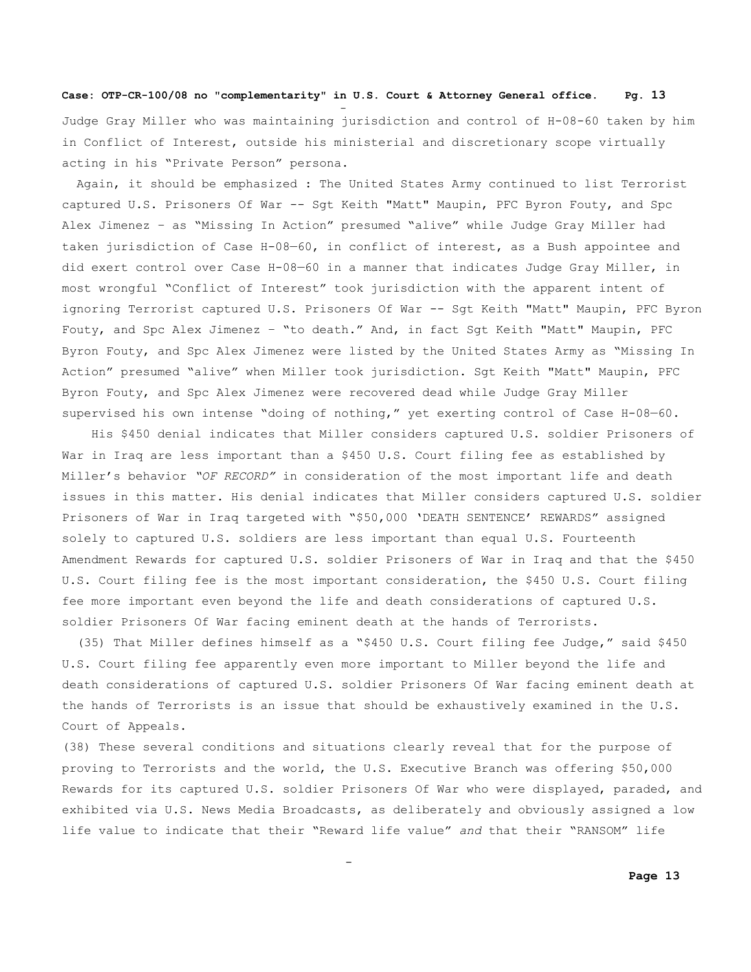and the state of the state of the state of the state of the state of the state of the state of the state of th

and the contract of the contract of the contract of the contract of the contract of the contract of the contract of

Judge Gray Miller who was maintaining jurisdiction and control of H-08-60 taken by him in Conflict of Interest, outside his ministerial and discretionary scope virtually acting in his "Private Person" persona.

 Again, it should be emphasized : The United States Army continued to list Terrorist captured U.S. Prisoners Of War -- Sgt Keith "Matt" Maupin, PFC Byron Fouty, and Spc Alex Jimenez – as "Missing In Action" presumed "alive" while Judge Gray Miller had taken jurisdiction of Case H-08—60, in conflict of interest, as a Bush appointee and did exert control over Case H-08—60 in a manner that indicates Judge Gray Miller, in most wrongful "Conflict of Interest" took jurisdiction with the apparent intent of ignoring Terrorist captured U.S. Prisoners Of War -- Sgt Keith "Matt" Maupin, PFC Byron Fouty, and Spc Alex Jimenez – "to death." And, in fact Sgt Keith "Matt" Maupin, PFC Byron Fouty, and Spc Alex Jimenez were listed by the United States Army as "Missing In Action" presumed "alive" when Miller took jurisdiction. Sgt Keith "Matt" Maupin, PFC Byron Fouty, and Spc Alex Jimenez were recovered dead while Judge Gray Miller supervised his own intense "doing of nothing," yet exerting control of Case H-08—60.

 His \$450 denial indicates that Miller considers captured U.S. soldier Prisoners of War in Iraq are less important than a \$450 U.S. Court filing fee as established by Miller's behavior *"OF RECORD"* in consideration of the most important life and death issues in this matter. His denial indicates that Miller considers captured U.S. soldier Prisoners of War in Iraq targeted with "\$50,000 'DEATH SENTENCE' REWARDS" assigned solely to captured U.S. soldiers are less important than equal U.S. Fourteenth Amendment Rewards for captured U.S. soldier Prisoners of War in Iraq and that the \$450 U.S. Court filing fee is the most important consideration, the \$450 U.S. Court filing fee more important even beyond the life and death considerations of captured U.S. soldier Prisoners Of War facing eminent death at the hands of Terrorists.

 (35) That Miller defines himself as a "\$450 U.S. Court filing fee Judge," said \$450 U.S. Court filing fee apparently even more important to Miller beyond the life and death considerations of captured U.S. soldier Prisoners Of War facing eminent death at the hands of Terrorists is an issue that should be exhaustively examined in the U.S. Court of Appeals.

(38) These several conditions and situations clearly reveal that for the purpose of proving to Terrorists and the world, the U.S. Executive Branch was offering \$50,000 Rewards for its captured U.S. soldier Prisoners Of War who were displayed, paraded, and exhibited via U.S. News Media Broadcasts, as deliberately and obviously assigned a low life value to indicate that their "Reward life value" *and* that their "RANSOM" life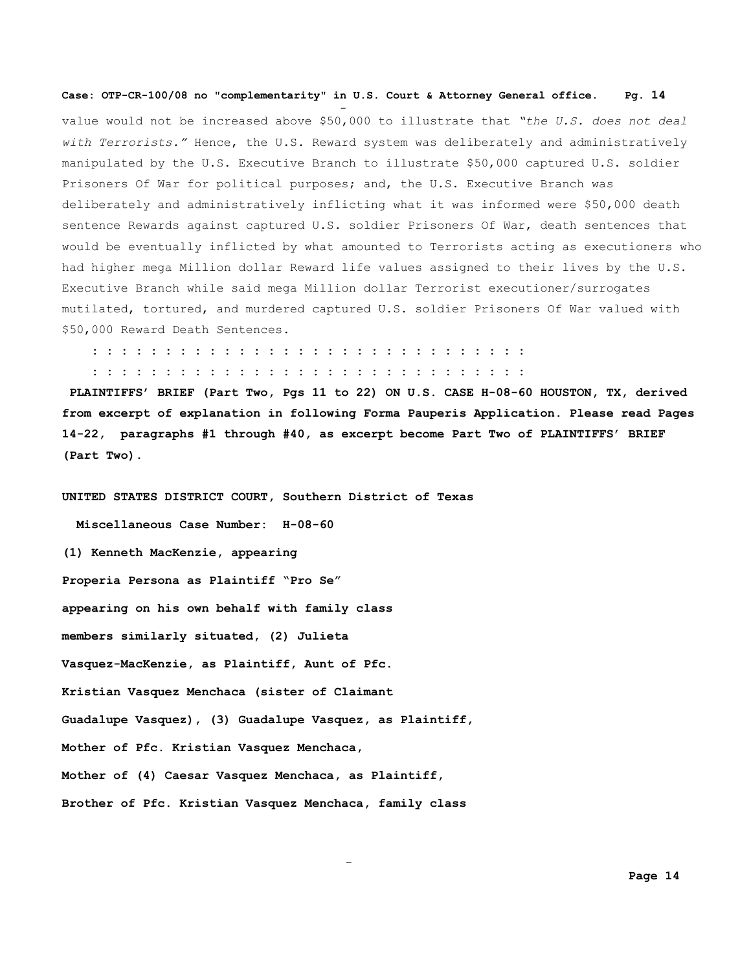value would not be increased above \$50,000 to illustrate that *"the U.S. does not deal with Terrorists."* Hence, the U.S. Reward system was deliberately and administratively manipulated by the U.S. Executive Branch to illustrate \$50,000 captured U.S. soldier Prisoners Of War for political purposes; and, the U.S. Executive Branch was deliberately and administratively inflicting what it was informed were \$50,000 death sentence Rewards against captured U.S. soldier Prisoners Of War, death sentences that would be eventually inflicted by what amounted to Terrorists acting as executioners who had higher mega Million dollar Reward life values assigned to their lives by the U.S. Executive Branch while said mega Million dollar Terrorist executioner/surrogates mutilated, tortured, and murdered captured U.S. soldier Prisoners Of War valued with \$50,000 Reward Death Sentences.

 **: : : : : : : : : : : : : : : : : : : : : : : : : : : : : :**

 **: : : : : : : : : : : : : : : : : : : : : : : : : : : : : :**

**PLAINTIFFS' BRIEF (Part Two, Pgs 11 to 22) ON U.S. CASE H-08-60 HOUSTON, TX, derived from excerpt of explanation in following Forma Pauperis Application. Please read Pages 14-22, paragraphs #1 through #40, as excerpt become Part Two of PLAINTIFFS' BRIEF (Part Two).**

**UNITED STATES DISTRICT COURT, Southern District of Texas**

and the state of the state of the state of the state of the state of the state of the state of the state of th

 **Miscellaneous Case Number: H-08-60 (1) Kenneth MacKenzie, appearing Properia Persona as Plaintiff "Pro Se" appearing on his own behalf with family class members similarly situated, (2) Julieta Vasquez-MacKenzie, as Plaintiff, Aunt of Pfc. Kristian Vasquez Menchaca (sister of Claimant Guadalupe Vasquez), (3) Guadalupe Vasquez, as Plaintiff, Mother of Pfc. Kristian Vasquez Menchaca, Mother of (4) Caesar Vasquez Menchaca, as Plaintiff, Brother of Pfc. Kristian Vasquez Menchaca, family class** 

and the contract of the contract of the contract of the contract of the contract of the contract of the contract of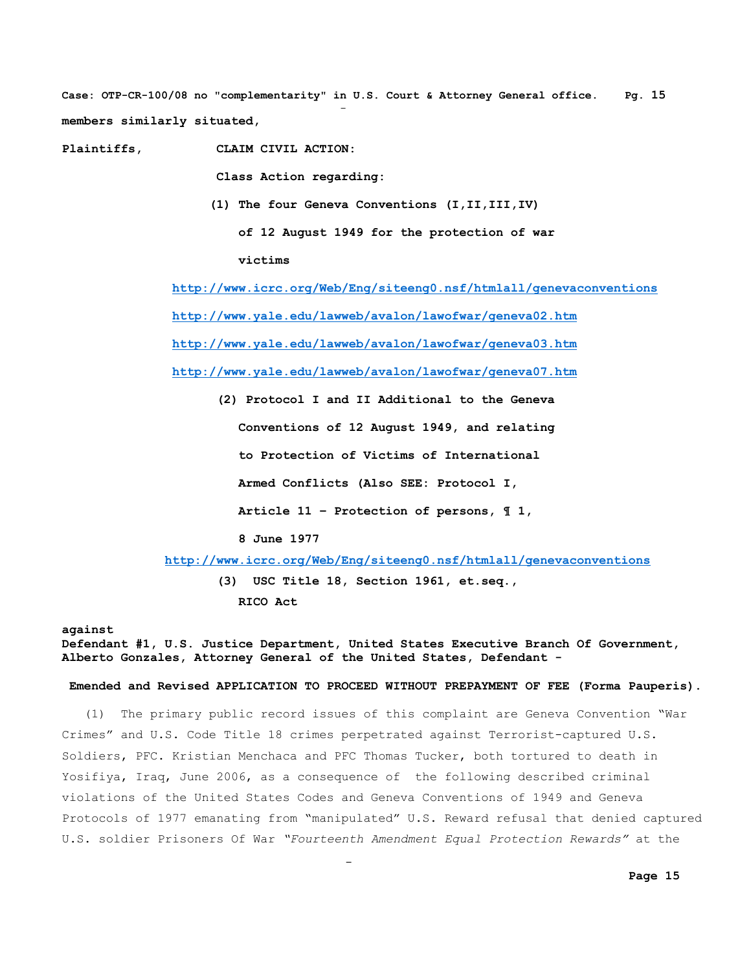**Case: OTP-CR-100/08 no "complementarity" in U.S. Court & Attorney General office. Pg. 15** and the state of the state of the state of the state of the state of the state of the state of the state of th **members similarly situated,**

**Plaintiffs, CLAIM CIVIL ACTION:**

and the state of the state of the state of the state of the state of the state of the state of the state of th

 **Class Action regarding:**

 **(1) The four Geneva Conventions (I,II,III,IV)**

 **of 12 August 1949 for the protection of war** 

**victims**

**<http://www.icrc.org/Web/Eng/siteeng0.nsf/htmlall/genevaconventions> <http://www.yale.edu/lawweb/avalon/lawofwar/geneva02.htm> <http://www.yale.edu/lawweb/avalon/lawofwar/geneva03.htm> <http://www.yale.edu/lawweb/avalon/lawofwar/geneva07.htm>**

 **(2) Protocol I and II Additional to the Geneva Conventions of 12 August 1949, and relating to Protection of Victims of International Armed Conflicts (Also SEE: Protocol I, Article 11 – Protection of persons, ¶ 1, 8 June 1977 <http://www.icrc.org/Web/Eng/siteeng0.nsf/htmlall/genevaconventions>**

**(3) USC Title 18, Section 1961, et.seq., RICO Act**

#### **against**

**Defendant #1, U.S. Justice Department, United States Executive Branch Of Government, Alberto Gonzales, Attorney General of the United States, Defendant -** 

#### **Emended and Revised APPLICATION TO PROCEED WITHOUT PREPAYMENT OF FEE (Forma Pauperis).**

 (1) The primary public record issues of this complaint are Geneva Convention "War Crimes" and U.S. Code Title 18 crimes perpetrated against Terrorist-captured U.S. Soldiers, PFC. Kristian Menchaca and PFC Thomas Tucker, both tortured to death in Yosifiya, Iraq, June 2006, as a consequence of the following described criminal violations of the United States Codes and Geneva Conventions of 1949 and Geneva Protocols of 1977 emanating from "manipulated" U.S. Reward refusal that denied captured U.S. soldier Prisoners Of War *"Fourteenth Amendment Equal Protection Rewards"* at the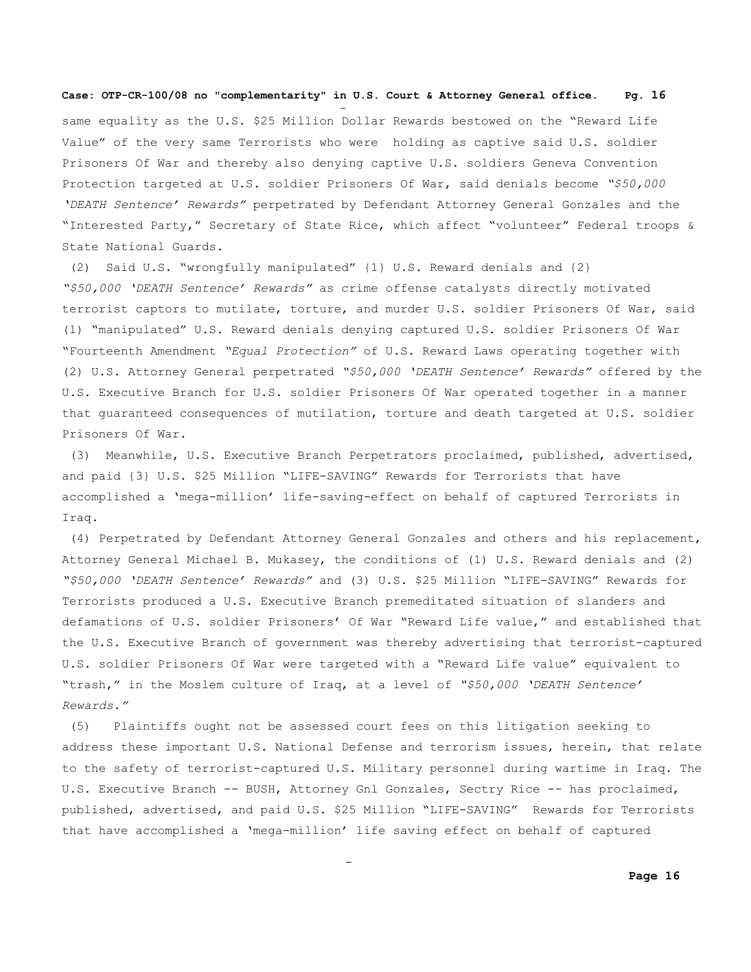and the state of the state of the state of the state of the state of the state of the state of the state of th

and the state of the state of the state of the state of the state of the state of the state of the state of th

same equality as the U.S. \$25 Million Dollar Rewards bestowed on the "Reward Life Value" of the very same Terrorists who were holding as captive said U.S. soldier Prisoners Of War and thereby also denying captive U.S. soldiers Geneva Convention Protection targeted at U.S. soldier Prisoners Of War, said denials become *"\$50,000 'DEATH Sentence' Rewards"* perpetrated by Defendant Attorney General Gonzales and the "Interested Party," Secretary of State Rice, which affect "volunteer" Federal troops & State National Guards.

(2) Said U.S. "wrongfully manipulated" {1} U.S. Reward denials and {2} *"\$50,000 'DEATH Sentence' Rewards"* as crime offense catalysts directly motivated terrorist captors to mutilate, torture, and murder U.S. soldier Prisoners Of War, said (1) "manipulated" U.S. Reward denials denying captured U.S. soldier Prisoners Of War "Fourteenth Amendment *"Equal Protection"* of U.S. Reward Laws operating together with (2) U.S. Attorney General perpetrated *"\$50,000 'DEATH Sentence' Rewards"* offered by the U.S. Executive Branch for U.S. soldier Prisoners Of War operated together in a manner that guaranteed consequences of mutilation, torture and death targeted at U.S. soldier Prisoners Of War.

(3) Meanwhile, U.S. Executive Branch Perpetrators proclaimed, published, advertised, and paid {3} U.S. \$25 Million "LIFE-SAVING" Rewards for Terrorists that have accomplished a 'mega-million' life-saving-effect on behalf of captured Terrorists in Iraq.

(4) Perpetrated by Defendant Attorney General Gonzales and others and his replacement, Attorney General Michael B. Mukasey, the conditions of (1) U.S. Reward denials and (2) *"\$50,000 'DEATH Sentence' Rewards"* and (3) U.S. \$25 Million "LIFE-SAVING" Rewards for Terrorists produced a U.S. Executive Branch premeditated situation of slanders and defamations of U.S. soldier Prisoners' Of War "Reward Life value," and established that the U.S. Executive Branch of government was thereby advertising that terrorist-captured U.S. soldier Prisoners Of War were targeted with a "Reward Life value" equivalent to "trash," in the Moslem culture of Iraq, at a level of *"\$50,000 'DEATH Sentence' Rewards."*

(5) Plaintiffs ought not be assessed court fees on this litigation seeking to address these important U.S. National Defense and terrorism issues, herein, that relate to the safety of terrorist-captured U.S. Military personnel during wartime in Iraq. The U.S. Executive Branch -- BUSH, Attorney Gnl Gonzales, Sectry Rice -- has proclaimed, published, advertised, and paid U.S. \$25 Million "LIFE-SAVING" Rewards for Terrorists that have accomplished a 'mega-million' life saving effect on behalf of captured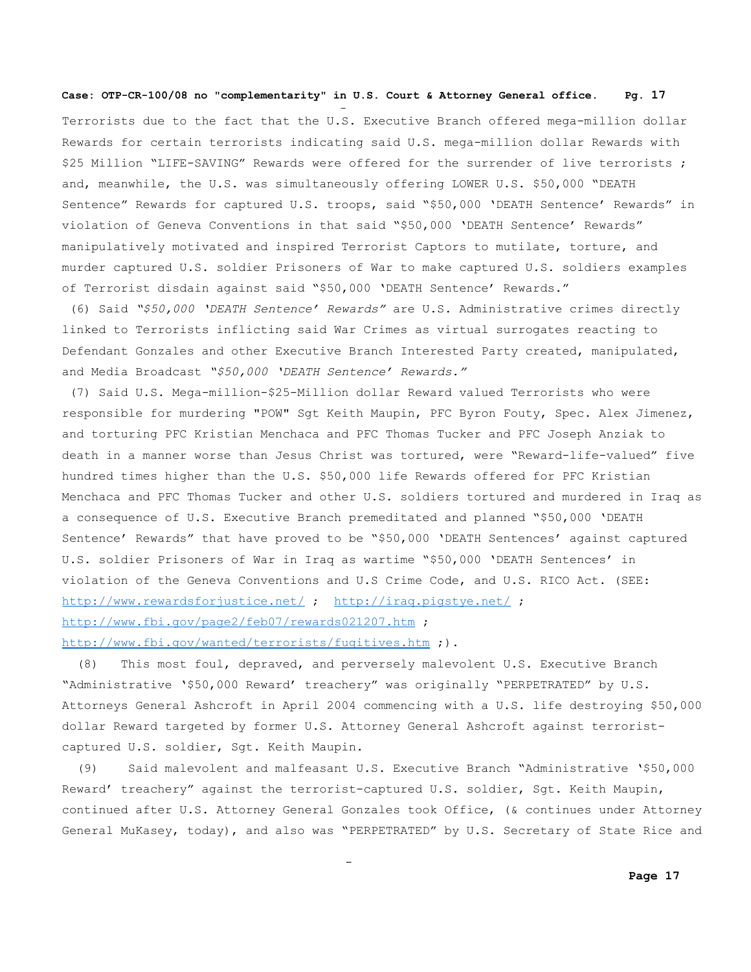and the state of the state of the state of the state of the state of the state of the state of the state of th

Terrorists due to the fact that the U.S. Executive Branch offered mega-million dollar Rewards for certain terrorists indicating said U.S. mega-million dollar Rewards with \$25 Million "LIFE-SAVING" Rewards were offered for the surrender of live terrorists ; and, meanwhile, the U.S. was simultaneously offering LOWER U.S. \$50,000 "DEATH Sentence" Rewards for captured U.S. troops, said "\$50,000 'DEATH Sentence' Rewards" in violation of Geneva Conventions in that said "\$50,000 'DEATH Sentence' Rewards" manipulatively motivated and inspired Terrorist Captors to mutilate, torture, and murder captured U.S. soldier Prisoners of War to make captured U.S. soldiers examples of Terrorist disdain against said "\$50,000 'DEATH Sentence' Rewards."

(6) Said *"\$50,000 'DEATH Sentence' Rewards"* are U.S. Administrative crimes directly linked to Terrorists inflicting said War Crimes as virtual surrogates reacting to Defendant Gonzales and other Executive Branch Interested Party created, manipulated, and Media Broadcast *"\$50,000 'DEATH Sentence' Rewards."*

(7) Said U.S. Mega-million-\$25-Million dollar Reward valued Terrorists who were responsible for murdering "POW" Sgt Keith Maupin, PFC Byron Fouty, Spec. Alex Jimenez, and torturing PFC Kristian Menchaca and PFC Thomas Tucker and PFC Joseph Anziak to death in a manner worse than Jesus Christ was tortured, were "Reward-life-valued" five hundred times higher than the U.S. \$50,000 life Rewards offered for PFC Kristian Menchaca and PFC Thomas Tucker and other U.S. soldiers tortured and murdered in Iraq as a consequence of U.S. Executive Branch premeditated and planned "\$50,000 'DEATH Sentence' Rewards" that have proved to be "\$50,000 'DEATH Sentences' against captured U.S. soldier Prisoners of War in Iraq as wartime "\$50,000 'DEATH Sentences' in violation of the Geneva Conventions and U.S Crime Code, and U.S. RICO Act. (SEE: <http://www.rewardsforjustice.net/>; <http://iraq.pigstye.net/>; http://www.fbi.gov/page2/feb07/rewards021207.htm;

# <http://www.fbi.gov/wanted/terrorists/fugitives.htm>;).

and the state of the state of the state of the state of the state of the state of the state of the state of th

(8) This most foul, depraved, and perversely malevolent U.S. Executive Branch "Administrative '\$50,000 Reward' treachery" was originally "PERPETRATED" by U.S. Attorneys General Ashcroft in April 2004 commencing with a U.S. life destroying \$50,000 dollar Reward targeted by former U.S. Attorney General Ashcroft against terroristcaptured U.S. soldier, Sgt. Keith Maupin.

 (9) Said malevolent and malfeasant U.S. Executive Branch "Administrative '\$50,000 Reward' treachery" against the terrorist-captured U.S. soldier, Sgt. Keith Maupin, continued after U.S. Attorney General Gonzales took Office, (& continues under Attorney General MuKasey, today), and also was "PERPETRATED" by U.S. Secretary of State Rice and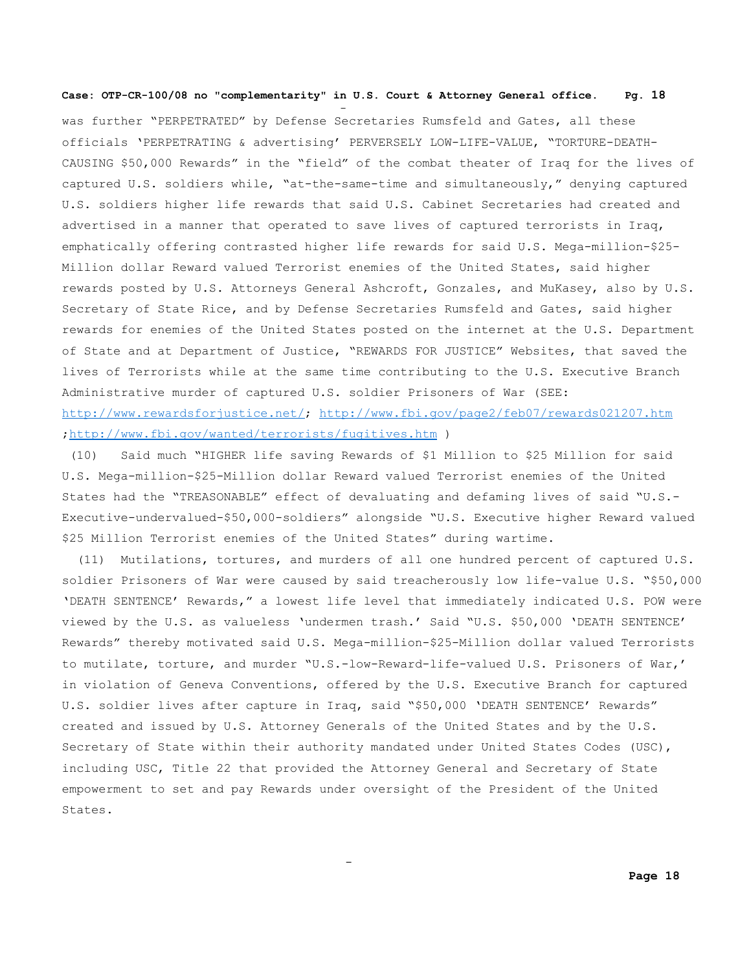and the state of the state of the state of the state of the state of the state of the state of the state of th

and the state of the state of the state of the state of the state of the state of the state of the state of th

was further "PERPETRATED" by Defense Secretaries Rumsfeld and Gates, all these officials 'PERPETRATING & advertising' PERVERSELY LOW-LIFE-VALUE, "TORTURE-DEATH-CAUSING \$50,000 Rewards" in the "field" of the combat theater of Iraq for the lives of captured U.S. soldiers while, "at-the-same-time and simultaneously," denying captured U.S. soldiers higher life rewards that said U.S. Cabinet Secretaries had created and advertised in a manner that operated to save lives of captured terrorists in Iraq, emphatically offering contrasted higher life rewards for said U.S. Mega-million-\$25- Million dollar Reward valued Terrorist enemies of the United States, said higher rewards posted by U.S. Attorneys General Ashcroft, Gonzales, and MuKasey, also by U.S. Secretary of State Rice, and by Defense Secretaries Rumsfeld and Gates, said higher rewards for enemies of the United States posted on the internet at the U.S. Department of State and at Department of Justice, "REWARDS FOR JUSTICE" Websites, that saved the lives of Terrorists while at the same time contributing to the U.S. Executive Branch Administrative murder of captured U.S. soldier Prisoners of War (SEE: [http://www.rewardsforjustice.net/;](http://www.rewardsforjustice.net/)<http://www.fbi.gov/page2/feb07/rewards021207.htm> [;http://www.fbi.gov/wanted/terrorists/fugitives.htm](http://www.fbi.gov/wanted/terrorists/fugitives.htm) )

(10) Said much "HIGHER life saving Rewards of \$1 Million to \$25 Million for said U.S. Mega-million-\$25-Million dollar Reward valued Terrorist enemies of the United States had the "TREASONABLE" effect of devaluating and defaming lives of said "U.S.- Executive-undervalued-\$50,000-soldiers" alongside "U.S. Executive higher Reward valued \$25 Million Terrorist enemies of the United States" during wartime.

(11) Mutilations, tortures, and murders of all one hundred percent of captured U.S. soldier Prisoners of War were caused by said treacherously low life-value U.S. "\$50,000 'DEATH SENTENCE' Rewards," a lowest life level that immediately indicated U.S. POW were viewed by the U.S. as valueless 'undermen trash.' Said "U.S. \$50,000 'DEATH SENTENCE' Rewards" thereby motivated said U.S. Mega-million-\$25-Million dollar valued Terrorists to mutilate, torture, and murder "U.S.-low-Reward-life-valued U.S. Prisoners of War,' in violation of Geneva Conventions, offered by the U.S. Executive Branch for captured U.S. soldier lives after capture in Iraq, said "\$50,000 'DEATH SENTENCE' Rewards" created and issued by U.S. Attorney Generals of the United States and by the U.S. Secretary of State within their authority mandated under United States Codes (USC), including USC, Title 22 that provided the Attorney General and Secretary of State empowerment to set and pay Rewards under oversight of the President of the United States.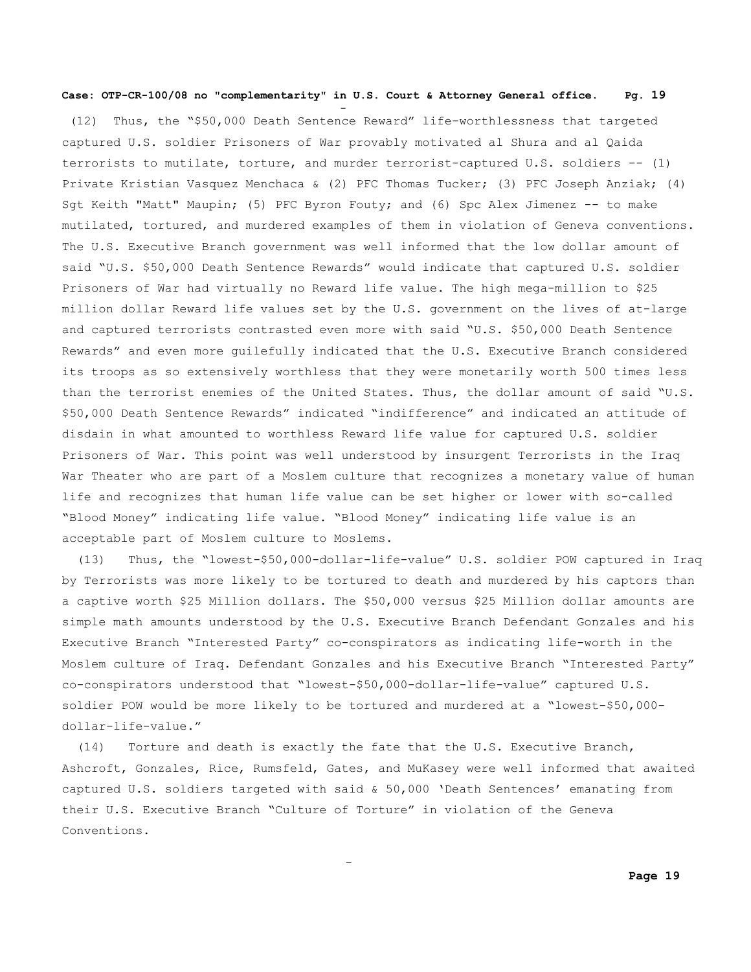and the state of the state of the state of the state of the state of the state of the state of the state of th

and the state of the state of the state of the state of the state of the state of the state of the state of th

(12) Thus, the "\$50,000 Death Sentence Reward" life-worthlessness that targeted captured U.S. soldier Prisoners of War provably motivated al Shura and al Qaida terrorists to mutilate, torture, and murder terrorist-captured U.S. soldiers -- (1) Private Kristian Vasquez Menchaca & (2) PFC Thomas Tucker; (3) PFC Joseph Anziak; (4) Sgt Keith "Matt" Maupin; (5) PFC Byron Fouty; and (6) Spc Alex Jimenez -- to make mutilated, tortured, and murdered examples of them in violation of Geneva conventions. The U.S. Executive Branch government was well informed that the low dollar amount of said "U.S. \$50,000 Death Sentence Rewards" would indicate that captured U.S. soldier Prisoners of War had virtually no Reward life value. The high mega-million to \$25 million dollar Reward life values set by the U.S. government on the lives of at-large and captured terrorists contrasted even more with said "U.S. \$50,000 Death Sentence Rewards" and even more guilefully indicated that the U.S. Executive Branch considered its troops as so extensively worthless that they were monetarily worth 500 times less than the terrorist enemies of the United States. Thus, the dollar amount of said "U.S. \$50,000 Death Sentence Rewards" indicated "indifference" and indicated an attitude of disdain in what amounted to worthless Reward life value for captured U.S. soldier Prisoners of War. This point was well understood by insurgent Terrorists in the Iraq War Theater who are part of a Moslem culture that recognizes a monetary value of human life and recognizes that human life value can be set higher or lower with so-called "Blood Money" indicating life value. "Blood Money" indicating life value is an acceptable part of Moslem culture to Moslems.

 (13) Thus, the "lowest-\$50,000-dollar-life-value" U.S. soldier POW captured in Iraq by Terrorists was more likely to be tortured to death and murdered by his captors than a captive worth \$25 Million dollars. The \$50,000 versus \$25 Million dollar amounts are simple math amounts understood by the U.S. Executive Branch Defendant Gonzales and his Executive Branch "Interested Party" co-conspirators as indicating life-worth in the Moslem culture of Iraq. Defendant Gonzales and his Executive Branch "Interested Party" co-conspirators understood that "lowest-\$50,000-dollar-life-value" captured U.S. soldier POW would be more likely to be tortured and murdered at a "lowest-\$50,000 dollar-life-value."

(14) Torture and death is exactly the fate that the U.S. Executive Branch, Ashcroft, Gonzales, Rice, Rumsfeld, Gates, and MuKasey were well informed that awaited captured U.S. soldiers targeted with said & 50,000 'Death Sentences' emanating from their U.S. Executive Branch "Culture of Torture" in violation of the Geneva Conventions.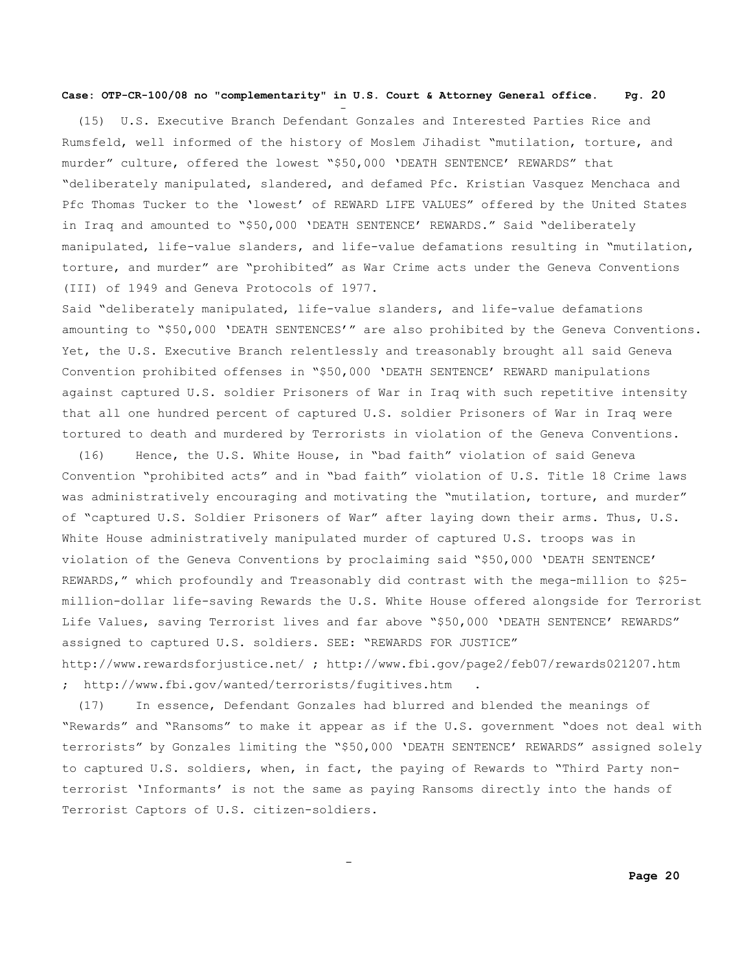and the state of the state of the state of the state of the state of the state of the state of the state of th

 (15) U.S. Executive Branch Defendant Gonzales and Interested Parties Rice and Rumsfeld, well informed of the history of Moslem Jihadist "mutilation, torture, and murder" culture, offered the lowest "\$50,000 'DEATH SENTENCE' REWARDS" that "deliberately manipulated, slandered, and defamed Pfc. Kristian Vasquez Menchaca and Pfc Thomas Tucker to the 'lowest' of REWARD LIFE VALUES" offered by the United States in Iraq and amounted to "\$50,000 'DEATH SENTENCE' REWARDS." Said "deliberately manipulated, life-value slanders, and life-value defamations resulting in "mutilation, torture, and murder" are "prohibited" as War Crime acts under the Geneva Conventions (III) of 1949 and Geneva Protocols of 1977.

Said "deliberately manipulated, life-value slanders, and life-value defamations amounting to "\$50,000 'DEATH SENTENCES'" are also prohibited by the Geneva Conventions. Yet, the U.S. Executive Branch relentlessly and treasonably brought all said Geneva Convention prohibited offenses in "\$50,000 'DEATH SENTENCE' REWARD manipulations against captured U.S. soldier Prisoners of War in Iraq with such repetitive intensity that all one hundred percent of captured U.S. soldier Prisoners of War in Iraq were tortured to death and murdered by Terrorists in violation of the Geneva Conventions.

 (16) Hence, the U.S. White House, in "bad faith" violation of said Geneva Convention "prohibited acts" and in "bad faith" violation of U.S. Title 18 Crime laws was administratively encouraging and motivating the "mutilation, torture, and murder" of "captured U.S. Soldier Prisoners of War" after laying down their arms. Thus, U.S. White House administratively manipulated murder of captured U.S. troops was in violation of the Geneva Conventions by proclaiming said "\$50,000 'DEATH SENTENCE' REWARDS," which profoundly and Treasonably did contrast with the mega-million to \$25 million-dollar life-saving Rewards the U.S. White House offered alongside for Terrorist Life Values, saving Terrorist lives and far above "\$50,000 'DEATH SENTENCE' REWARDS" assigned to captured U.S. soldiers. SEE: "REWARDS FOR JUSTICE" http://www.rewardsforjustice.net/ ; http://www.fbi.gov/page2/feb07/rewards021207.htm

; http://www.fbi.gov/wanted/terrorists/fugitives.htm .

and the state of the state of the state of the state of the state of the state of the state of the state of th

 (17) In essence, Defendant Gonzales had blurred and blended the meanings of "Rewards" and "Ransoms" to make it appear as if the U.S. government "does not deal with terrorists" by Gonzales limiting the "\$50,000 'DEATH SENTENCE' REWARDS" assigned solely to captured U.S. soldiers, when, in fact, the paying of Rewards to "Third Party nonterrorist 'Informants' is not the same as paying Ransoms directly into the hands of Terrorist Captors of U.S. citizen-soldiers.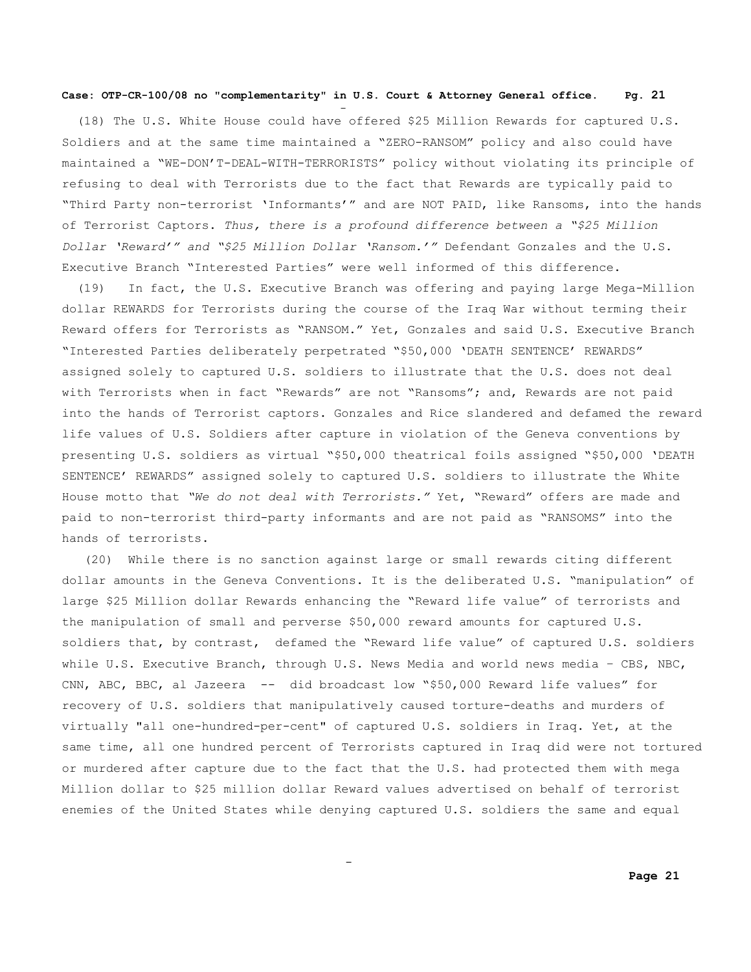and the state of the state of the state of the state of the state of the state of the state of the state of th

 (18) The U.S. White House could have offered \$25 Million Rewards for captured U.S. Soldiers and at the same time maintained a "ZERO-RANSOM" policy and also could have maintained a "WE-DON'T-DEAL-WITH-TERRORISTS" policy without violating its principle of refusing to deal with Terrorists due to the fact that Rewards are typically paid to "Third Party non-terrorist 'Informants'" and are NOT PAID, like Ransoms, into the hands of Terrorist Captors. *Thus, there is a profound difference between a "\$25 Million Dollar 'Reward'" and "\$25 Million Dollar 'Ransom.'"* Defendant Gonzales and the U.S. Executive Branch "Interested Parties" were well informed of this difference.

 (19) In fact, the U.S. Executive Branch was offering and paying large Mega-Million dollar REWARDS for Terrorists during the course of the Iraq War without terming their Reward offers for Terrorists as "RANSOM." Yet, Gonzales and said U.S. Executive Branch "Interested Parties deliberately perpetrated "\$50,000 'DEATH SENTENCE' REWARDS" assigned solely to captured U.S. soldiers to illustrate that the U.S. does not deal with Terrorists when in fact "Rewards" are not "Ransoms"; and, Rewards are not paid into the hands of Terrorist captors. Gonzales and Rice slandered and defamed the reward life values of U.S. Soldiers after capture in violation of the Geneva conventions by presenting U.S. soldiers as virtual "\$50,000 theatrical foils assigned "\$50,000 'DEATH SENTENCE' REWARDS" assigned solely to captured U.S. soldiers to illustrate the White House motto that *"We do not deal with Terrorists."* Yet, "Reward" offers are made and paid to non-terrorist third-party informants and are not paid as "RANSOMS" into the hands of terrorists.

(20) While there is no sanction against large or small rewards citing different dollar amounts in the Geneva Conventions. It is the deliberated U.S. "manipulation" of large \$25 Million dollar Rewards enhancing the "Reward life value" of terrorists and the manipulation of small and perverse \$50,000 reward amounts for captured U.S. soldiers that, by contrast, defamed the "Reward life value" of captured U.S. soldiers while U.S. Executive Branch, through U.S. News Media and world news media – CBS, NBC, CNN, ABC, BBC, al Jazeera -- did broadcast low "\$50,000 Reward life values" for recovery of U.S. soldiers that manipulatively caused torture-deaths and murders of virtually "all one-hundred-per-cent" of captured U.S. soldiers in Iraq. Yet, at the same time, all one hundred percent of Terrorists captured in Iraq did were not tortured or murdered after capture due to the fact that the U.S. had protected them with mega Million dollar to \$25 million dollar Reward values advertised on behalf of terrorist enemies of the United States while denying captured U.S. soldiers the same and equal

and the state of the state of the state of the state of the state of the state of the state of the state of th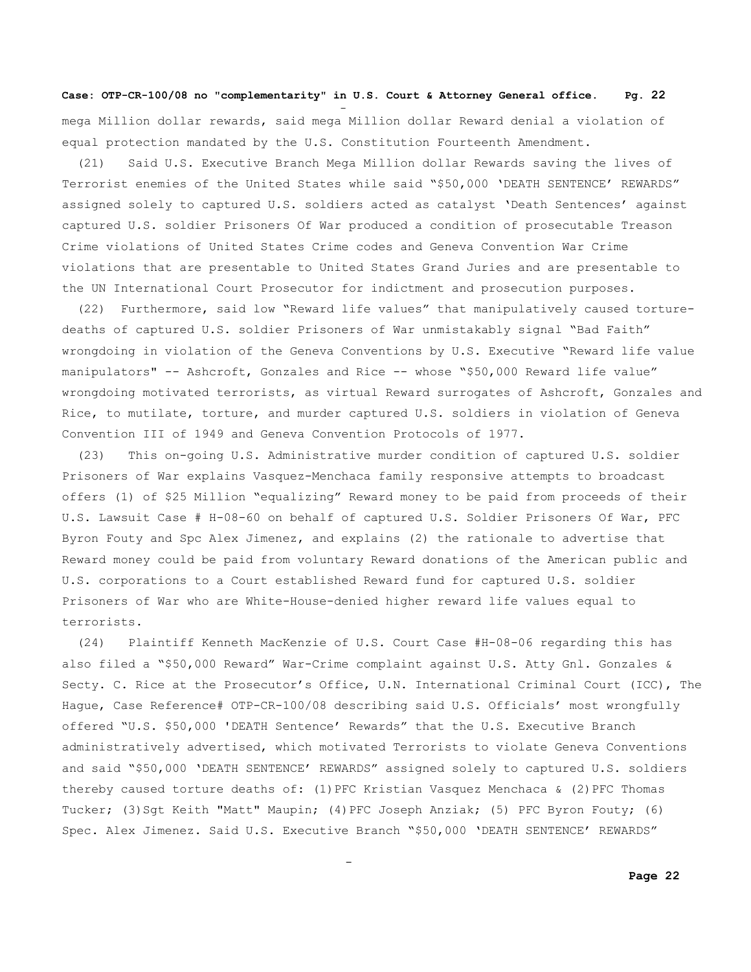and the state of the state of the state of the state of the state of the state of the state of the state of th

and the state of the state of the state of the state of the state of the state of the state of the state of th

mega Million dollar rewards, said mega Million dollar Reward denial a violation of equal protection mandated by the U.S. Constitution Fourteenth Amendment.

 (21) Said U.S. Executive Branch Mega Million dollar Rewards saving the lives of Terrorist enemies of the United States while said "\$50,000 'DEATH SENTENCE' REWARDS" assigned solely to captured U.S. soldiers acted as catalyst 'Death Sentences' against captured U.S. soldier Prisoners Of War produced a condition of prosecutable Treason Crime violations of United States Crime codes and Geneva Convention War Crime violations that are presentable to United States Grand Juries and are presentable to the UN International Court Prosecutor for indictment and prosecution purposes.

(22) Furthermore, said low "Reward life values" that manipulatively caused torturedeaths of captured U.S. soldier Prisoners of War unmistakably signal "Bad Faith" wrongdoing in violation of the Geneva Conventions by U.S. Executive "Reward life value manipulators" -- Ashcroft, Gonzales and Rice -- whose "\$50,000 Reward life value" wrongdoing motivated terrorists, as virtual Reward surrogates of Ashcroft, Gonzales and Rice, to mutilate, torture, and murder captured U.S. soldiers in violation of Geneva Convention III of 1949 and Geneva Convention Protocols of 1977.

(23) This on-going U.S. Administrative murder condition of captured U.S. soldier Prisoners of War explains Vasquez-Menchaca family responsive attempts to broadcast offers (1) of \$25 Million "equalizing" Reward money to be paid from proceeds of their U.S. Lawsuit Case # H-08-60 on behalf of captured U.S. Soldier Prisoners Of War, PFC Byron Fouty and Spc Alex Jimenez, and explains (2) the rationale to advertise that Reward money could be paid from voluntary Reward donations of the American public and U.S. corporations to a Court established Reward fund for captured U.S. soldier Prisoners of War who are White-House-denied higher reward life values equal to terrorists.

(24) Plaintiff Kenneth MacKenzie of U.S. Court Case #H-08-06 regarding this has also filed a "\$50,000 Reward" War-Crime complaint against U.S. Atty Gnl. Gonzales & Secty. C. Rice at the Prosecutor's Office, U.N. International Criminal Court (ICC), The Hague, Case Reference# OTP-CR-100/08 describing said U.S. Officials' most wrongfully offered "U.S. \$50,000 'DEATH Sentence' Rewards" that the U.S. Executive Branch administratively advertised, which motivated Terrorists to violate Geneva Conventions and said "\$50,000 'DEATH SENTENCE' REWARDS" assigned solely to captured U.S. soldiers thereby caused torture deaths of: (1) PFC Kristian Vasquez Menchaca & (2) PFC Thomas Tucker; (3)Sgt Keith "Matt" Maupin; (4)PFC Joseph Anziak; (5) PFC Byron Fouty; (6) Spec. Alex Jimenez. Said U.S. Executive Branch "\$50,000 'DEATH SENTENCE' REWARDS"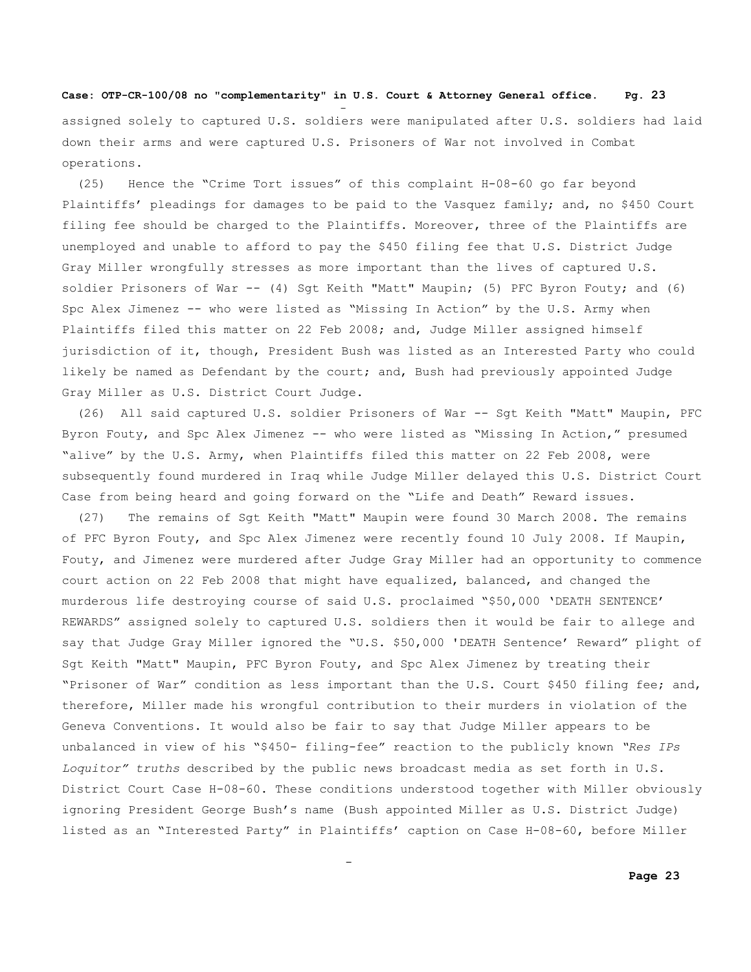and the state of the state of the state of the state of the state of the state of the state of the state of th

and the state of the state of the state of the state of the state of the state of the state of the state of th

assigned solely to captured U.S. soldiers were manipulated after U.S. soldiers had laid down their arms and were captured U.S. Prisoners of War not involved in Combat operations.

 (25) Hence the "Crime Tort issues" of this complaint H-08-60 go far beyond Plaintiffs' pleadings for damages to be paid to the Vasquez family; and, no \$450 Court filing fee should be charged to the Plaintiffs. Moreover, three of the Plaintiffs are unemployed and unable to afford to pay the \$450 filing fee that U.S. District Judge Gray Miller wrongfully stresses as more important than the lives of captured U.S. soldier Prisoners of War -- (4) Sgt Keith "Matt" Maupin; (5) PFC Byron Fouty; and (6) Spc Alex Jimenez -- who were listed as "Missing In Action" by the U.S. Army when Plaintiffs filed this matter on 22 Feb 2008; and, Judge Miller assigned himself jurisdiction of it, though, President Bush was listed as an Interested Party who could likely be named as Defendant by the court; and, Bush had previously appointed Judge Gray Miller as U.S. District Court Judge.

 (26) All said captured U.S. soldier Prisoners of War -- Sgt Keith "Matt" Maupin, PFC Byron Fouty, and Spc Alex Jimenez -- who were listed as "Missing In Action," presumed "alive" by the U.S. Army, when Plaintiffs filed this matter on 22 Feb 2008, were subsequently found murdered in Iraq while Judge Miller delayed this U.S. District Court Case from being heard and going forward on the "Life and Death" Reward issues.

 (27) The remains of Sgt Keith "Matt" Maupin were found 30 March 2008. The remains of PFC Byron Fouty, and Spc Alex Jimenez were recently found 10 July 2008. If Maupin, Fouty, and Jimenez were murdered after Judge Gray Miller had an opportunity to commence court action on 22 Feb 2008 that might have equalized, balanced, and changed the murderous life destroying course of said U.S. proclaimed "\$50,000 'DEATH SENTENCE' REWARDS" assigned solely to captured U.S. soldiers then it would be fair to allege and say that Judge Gray Miller ignored the "U.S. \$50,000 'DEATH Sentence' Reward" plight of Sgt Keith "Matt" Maupin, PFC Byron Fouty, and Spc Alex Jimenez by treating their "Prisoner of War" condition as less important than the U.S. Court \$450 filing fee; and, therefore, Miller made his wrongful contribution to their murders in violation of the Geneva Conventions. It would also be fair to say that Judge Miller appears to be unbalanced in view of his "\$450- filing-fee" reaction to the publicly known *"Res IPs Loquitor" truths* described by the public news broadcast media as set forth in U.S. District Court Case H-08-60. These conditions understood together with Miller obviously ignoring President George Bush's name (Bush appointed Miller as U.S. District Judge) listed as an "Interested Party" in Plaintiffs' caption on Case H-08-60, before Miller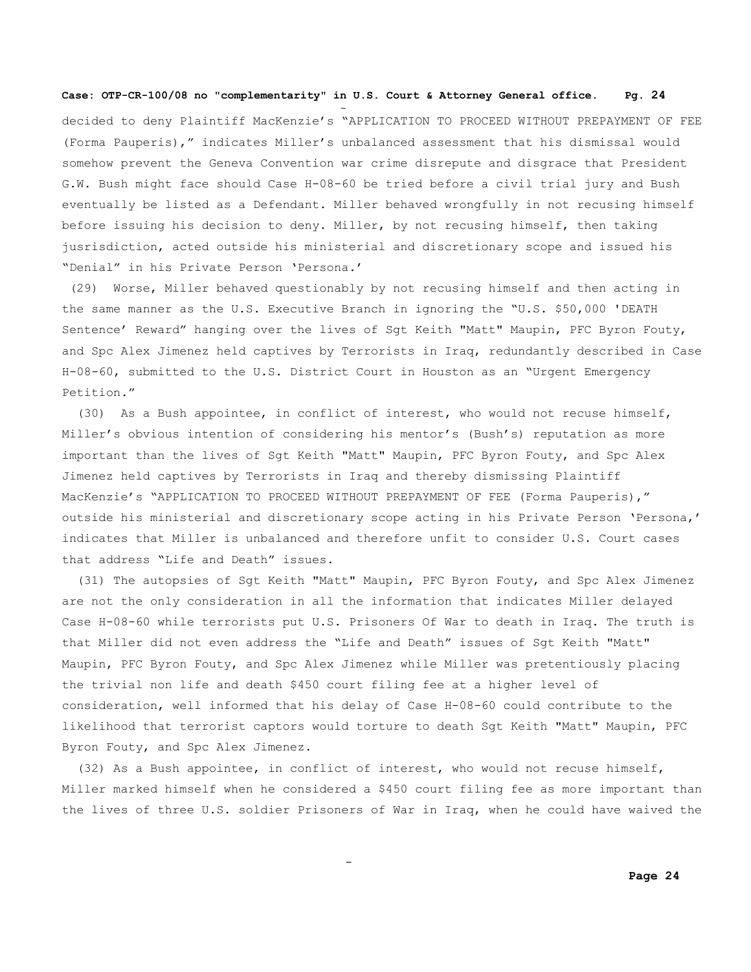and the state of the state of the state of the state of the state of the state of the state of the state of th

and the state of the state of the state of the state of the state of the state of the state of the state of th

decided to deny Plaintiff MacKenzie's "APPLICATION TO PROCEED WITHOUT PREPAYMENT OF FEE (Forma Pauperis)," indicates Miller's unbalanced assessment that his dismissal would somehow prevent the Geneva Convention war crime disrepute and disgrace that President G.W. Bush might face should Case H-08-60 be tried before a civil trial jury and Bush eventually be listed as a Defendant. Miller behaved wrongfully in not recusing himself before issuing his decision to deny. Miller, by not recusing himself, then taking jusrisdiction, acted outside his ministerial and discretionary scope and issued his "Denial" in his Private Person 'Persona.'

(29) Worse, Miller behaved questionably by not recusing himself and then acting in the same manner as the U.S. Executive Branch in ignoring the "U.S. \$50,000 'DEATH Sentence' Reward" hanging over the lives of Sgt Keith "Matt" Maupin, PFC Byron Fouty, and Spc Alex Jimenez held captives by Terrorists in Iraq, redundantly described in Case H-08-60, submitted to the U.S. District Court in Houston as an "Urgent Emergency Petition."

(30) As a Bush appointee, in conflict of interest, who would not recuse himself, Miller's obvious intention of considering his mentor's (Bush's) reputation as more important than the lives of Sgt Keith "Matt" Maupin, PFC Byron Fouty, and Spc Alex Jimenez held captives by Terrorists in Iraq and thereby dismissing Plaintiff MacKenzie's "APPLICATION TO PROCEED WITHOUT PREPAYMENT OF FEE (Forma Pauperis)," outside his ministerial and discretionary scope acting in his Private Person 'Persona,' indicates that Miller is unbalanced and therefore unfit to consider U.S. Court cases that address "Life and Death" issues.

 (31) The autopsies of Sgt Keith "Matt" Maupin, PFC Byron Fouty, and Spc Alex Jimenez are not the only consideration in all the information that indicates Miller delayed Case H-08-60 while terrorists put U.S. Prisoners Of War to death in Iraq. The truth is that Miller did not even address the "Life and Death" issues of Sgt Keith "Matt" Maupin, PFC Byron Fouty, and Spc Alex Jimenez while Miller was pretentiously placing the trivial non life and death \$450 court filing fee at a higher level of consideration, well informed that his delay of Case H-08-60 could contribute to the likelihood that terrorist captors would torture to death Sgt Keith "Matt" Maupin, PFC Byron Fouty, and Spc Alex Jimenez.

 (32) As a Bush appointee, in conflict of interest, who would not recuse himself, Miller marked himself when he considered a \$450 court filing fee as more important than the lives of three U.S. soldier Prisoners of War in Iraq, when he could have waived the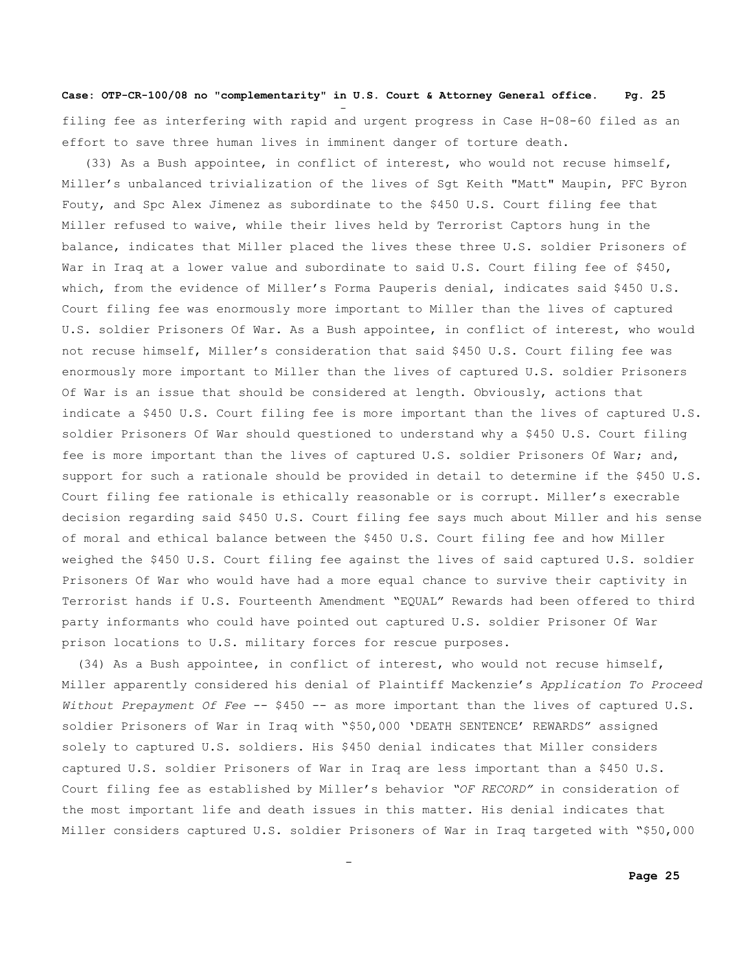and the state of the state of the state of the state of the state of the state of the state of the state of th filing fee as interfering with rapid and urgent progress in Case H-08-60 filed as an effort to save three human lives in imminent danger of torture death.

 (33) As a Bush appointee, in conflict of interest, who would not recuse himself, Miller's unbalanced trivialization of the lives of Sgt Keith "Matt" Maupin, PFC Byron Fouty, and Spc Alex Jimenez as subordinate to the \$450 U.S. Court filing fee that Miller refused to waive, while their lives held by Terrorist Captors hung in the balance, indicates that Miller placed the lives these three U.S. soldier Prisoners of War in Iraq at a lower value and subordinate to said U.S. Court filing fee of \$450, which, from the evidence of Miller's Forma Pauperis denial, indicates said \$450 U.S. Court filing fee was enormously more important to Miller than the lives of captured U.S. soldier Prisoners Of War. As a Bush appointee, in conflict of interest, who would not recuse himself, Miller's consideration that said \$450 U.S. Court filing fee was enormously more important to Miller than the lives of captured U.S. soldier Prisoners Of War is an issue that should be considered at length. Obviously, actions that indicate a \$450 U.S. Court filing fee is more important than the lives of captured U.S. soldier Prisoners Of War should questioned to understand why a \$450 U.S. Court filing fee is more important than the lives of captured U.S. soldier Prisoners Of War; and, support for such a rationale should be provided in detail to determine if the \$450 U.S. Court filing fee rationale is ethically reasonable or is corrupt. Miller's execrable decision regarding said \$450 U.S. Court filing fee says much about Miller and his sense of moral and ethical balance between the \$450 U.S. Court filing fee and how Miller weighed the \$450 U.S. Court filing fee against the lives of said captured U.S. soldier Prisoners Of War who would have had a more equal chance to survive their captivity in Terrorist hands if U.S. Fourteenth Amendment "EQUAL" Rewards had been offered to third party informants who could have pointed out captured U.S. soldier Prisoner Of War prison locations to U.S. military forces for rescue purposes.

 (34) As a Bush appointee, in conflict of interest, who would not recuse himself, Miller apparently considered his denial of Plaintiff Mackenzie's *Application To Proceed Without Prepayment Of Fee* -- \$450 -- as more important than the lives of captured U.S. soldier Prisoners of War in Iraq with "\$50,000 'DEATH SENTENCE' REWARDS" assigned solely to captured U.S. soldiers. His \$450 denial indicates that Miller considers captured U.S. soldier Prisoners of War in Iraq are less important than a \$450 U.S. Court filing fee as established by Miller's behavior *"OF RECORD"* in consideration of the most important life and death issues in this matter. His denial indicates that Miller considers captured U.S. soldier Prisoners of War in Iraq targeted with "\$50,000

and the state of the state of the state of the state of the state of the state of the state of the state of th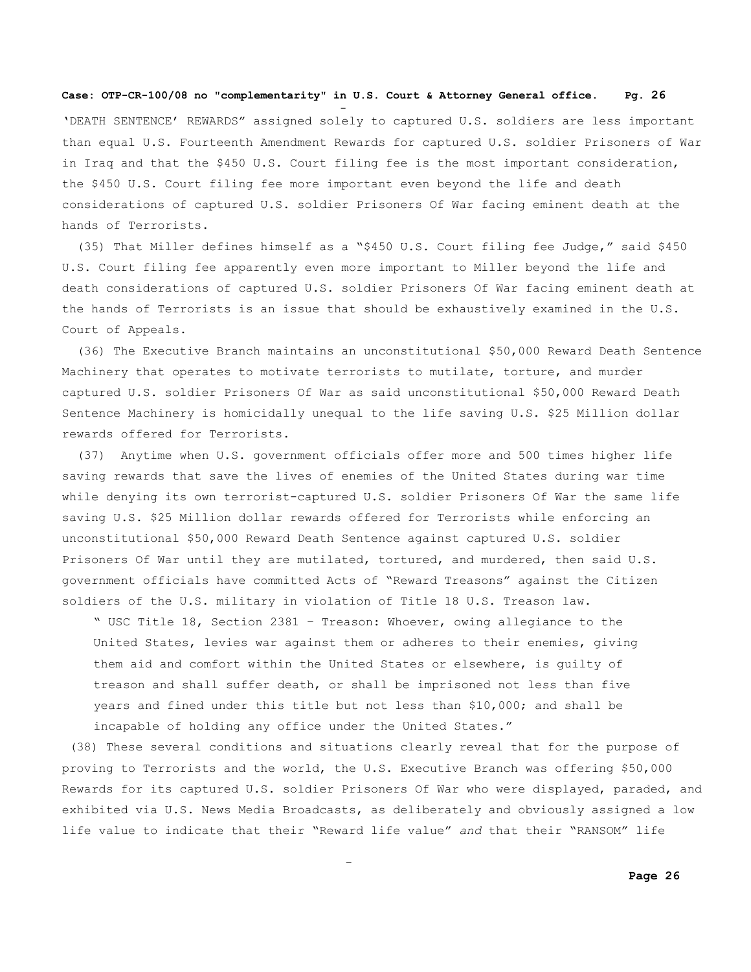and the state of the state of the state of the state of the state of the state of the state of the state of th

and the state of the state of the state of the state of the state of the state of the state of the state of th

'DEATH SENTENCE' REWARDS" assigned solely to captured U.S. soldiers are less important than equal U.S. Fourteenth Amendment Rewards for captured U.S. soldier Prisoners of War in Iraq and that the \$450 U.S. Court filing fee is the most important consideration, the \$450 U.S. Court filing fee more important even beyond the life and death considerations of captured U.S. soldier Prisoners Of War facing eminent death at the hands of Terrorists.

 (35) That Miller defines himself as a "\$450 U.S. Court filing fee Judge," said \$450 U.S. Court filing fee apparently even more important to Miller beyond the life and death considerations of captured U.S. soldier Prisoners Of War facing eminent death at the hands of Terrorists is an issue that should be exhaustively examined in the U.S. Court of Appeals.

(36) The Executive Branch maintains an unconstitutional \$50,000 Reward Death Sentence Machinery that operates to motivate terrorists to mutilate, torture, and murder captured U.S. soldier Prisoners Of War as said unconstitutional \$50,000 Reward Death Sentence Machinery is homicidally unequal to the life saving U.S. \$25 Million dollar rewards offered for Terrorists.

 (37) Anytime when U.S. government officials offer more and 500 times higher life saving rewards that save the lives of enemies of the United States during war time while denying its own terrorist-captured U.S. soldier Prisoners Of War the same life saving U.S. \$25 Million dollar rewards offered for Terrorists while enforcing an unconstitutional \$50,000 Reward Death Sentence against captured U.S. soldier Prisoners Of War until they are mutilated, tortured, and murdered, then said U.S. government officials have committed Acts of "Reward Treasons" against the Citizen soldiers of the U.S. military in violation of Title 18 U.S. Treason law.

" USC Title 18, Section 2381 – Treason: Whoever, owing allegiance to the United States, levies war against them or adheres to their enemies, giving them aid and comfort within the United States or elsewhere, is guilty of treason and shall suffer death, or shall be imprisoned not less than five years and fined under this title but not less than \$10,000; and shall be incapable of holding any office under the United States."

(38) These several conditions and situations clearly reveal that for the purpose of proving to Terrorists and the world, the U.S. Executive Branch was offering \$50,000 Rewards for its captured U.S. soldier Prisoners Of War who were displayed, paraded, and exhibited via U.S. News Media Broadcasts, as deliberately and obviously assigned a low life value to indicate that their "Reward life value" *and* that their "RANSOM" life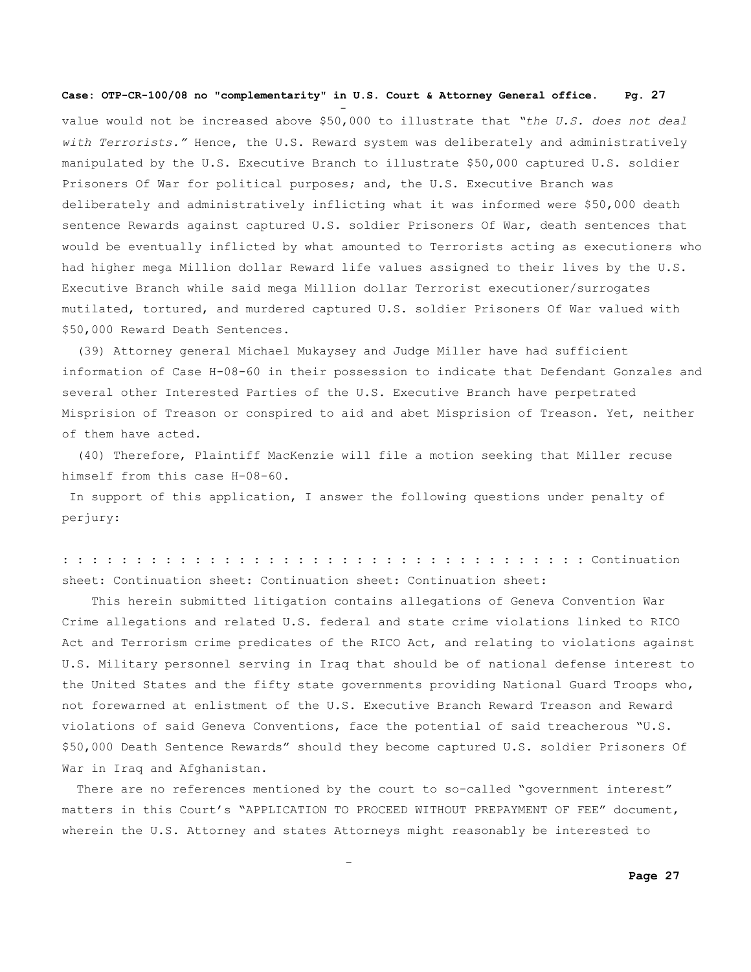and the state of the state of the state of the state of the state of the state of the state of the state of th

and the state of the state of the state of the state of the state of the state of the state of the state of th

value would not be increased above \$50,000 to illustrate that *"the U.S. does not deal with Terrorists."* Hence, the U.S. Reward system was deliberately and administratively manipulated by the U.S. Executive Branch to illustrate \$50,000 captured U.S. soldier Prisoners Of War for political purposes; and, the U.S. Executive Branch was deliberately and administratively inflicting what it was informed were \$50,000 death sentence Rewards against captured U.S. soldier Prisoners Of War, death sentences that would be eventually inflicted by what amounted to Terrorists acting as executioners who had higher mega Million dollar Reward life values assigned to their lives by the U.S. Executive Branch while said mega Million dollar Terrorist executioner/surrogates mutilated, tortured, and murdered captured U.S. soldier Prisoners Of War valued with \$50,000 Reward Death Sentences.

(39) Attorney general Michael Mukaysey and Judge Miller have had sufficient information of Case H-08-60 in their possession to indicate that Defendant Gonzales and several other Interested Parties of the U.S. Executive Branch have perpetrated Misprision of Treason or conspired to aid and abet Misprision of Treason. Yet, neither of them have acted.

 (40) Therefore, Plaintiff MacKenzie will file a motion seeking that Miller recuse himself from this case H-08-60.

In support of this application, I answer the following questions under penalty of perjury:

: : : : : : : : : : : : : : : : : : : : : : : : : : : : : : : : : : : : Continuation sheet: Continuation sheet: Continuation sheet: Continuation sheet:

 This herein submitted litigation contains allegations of Geneva Convention War Crime allegations and related U.S. federal and state crime violations linked to RICO Act and Terrorism crime predicates of the RICO Act, and relating to violations against U.S. Military personnel serving in Iraq that should be of national defense interest to the United States and the fifty state governments providing National Guard Troops who, not forewarned at enlistment of the U.S. Executive Branch Reward Treason and Reward violations of said Geneva Conventions, face the potential of said treacherous "U.S. \$50,000 Death Sentence Rewards" should they become captured U.S. soldier Prisoners Of War in Iraq and Afghanistan.

 There are no references mentioned by the court to so-called "government interest" matters in this Court's "APPLICATION TO PROCEED WITHOUT PREPAYMENT OF FEE" document, wherein the U.S. Attorney and states Attorneys might reasonably be interested to